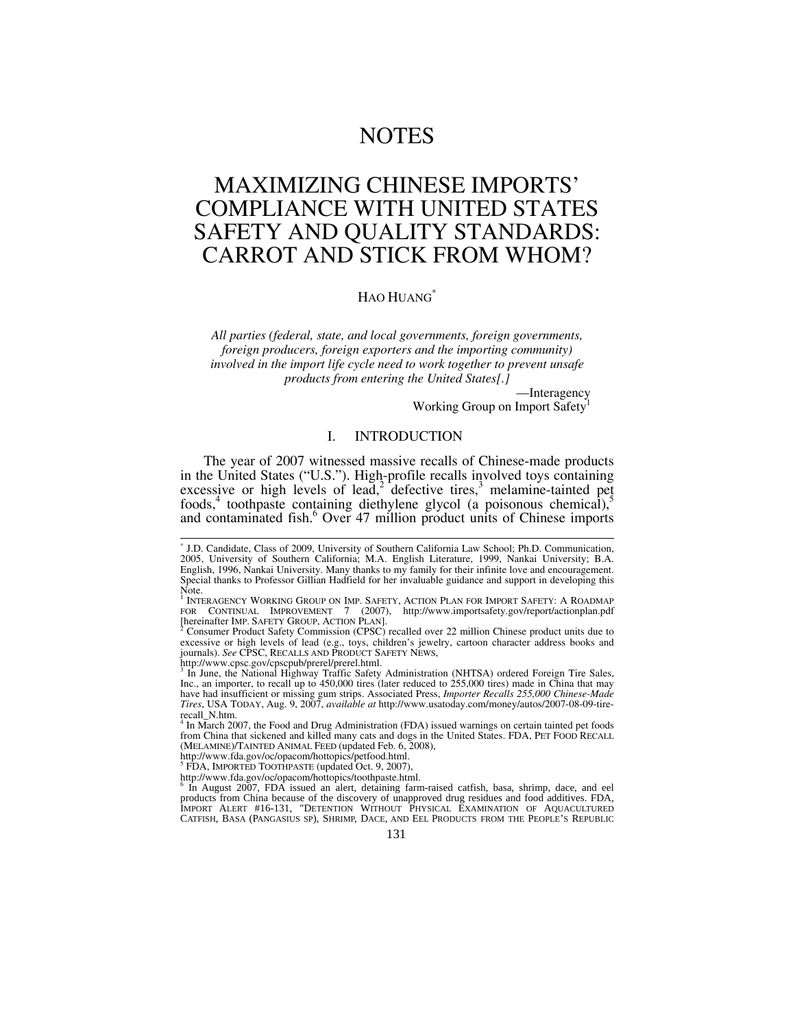# NOTES

# MAXIMIZING CHINESE IMPORTS' COMPLIANCE WITH UNITED STATES SAFETY AND QUALITY STANDARDS: CARROT AND STICK FROM WHOM?

## HAO HUANG<sup>\*</sup>

*All parties (federal, state, and local governments, foreign governments, foreign producers, foreign exporters and the importing community) involved in the import life cycle need to work together to prevent unsafe products from entering the United States[.]* 

—Interagency

Working Group on Import Safety<sup>1</sup>

## I. INTRODUCTION

The year of 2007 witnessed massive recalls of Chinese-made products in the United States ("U.S."). High-profile recalls involved toys containing excessive or high levels of lead,<sup>2</sup> defective tires,<sup>3</sup> melamine-tainted pet foods,<sup>4</sup> toothpaste containing diethylene glycol (a poisonous chemical),<sup>5</sup> and contaminated fish.<sup>6</sup> Over 47 million product units of Chinese imports

Note.<br><sup>1</sup> INTERAGENCY WORKING GROUP ON IMP. SAFETY, ACTION PLAN FOR IMPORT SAFETY: A ROADMAP<br>FOR CONTINUAL IMPROVEMENT 7 (2007), http://www.importsafety.gov/report/actionplan.pdf [hereinafter IMP. SAFETY GROUP, ACTION PLAN].

 Consumer Product Safety Commission (CPSC) recalled over 22 million Chinese product units due to excessive or high levels of lead (e.g., toys, children's jewelry, cartoon character address books and journals). *See* CPSC, RECALLS AND PRODUCT SAFETY NEWS,

http://www.cpsc.gov/cpscpub/prerel/prerel.html.<br><sup>3</sup> In June, the Netional Highway Traffic Safety.

 In June, the National Highway Traffic Safety Administration (NHTSA) ordered Foreign Tire Sales, Inc., an importer, to recall up to 450,000 tires (later reduced to 255,000 tires) made in China that may have had insufficient or missing gum strips. Associated Press, *Importer Recalls 255,000 Chinese-Made Tires*, USA TODAY, Aug. 9, 2007, *available at* http://www.usatoday.com/money/autos/2007-08-09-tirerecall\_N.htm.

 In March 2007, the Food and Drug Administration (FDA) issued warnings on certain tainted pet foods from China that sickened and killed many cats and dogs in the United States. FDA, PET FOOD RECALL (MELAMINE)/TAINTED ANIMAL FEED (updated Feb. 6, 2008),

http://www.fda.gov/oc/opacom/hottopics/petfood.html. 5 FDA, IMPORTED TOOTHPASTE (updated Oct. 9, 2007),

http://www.fda.gov/oc/opacom/hottopics/toothpaste.html. <sup>6</sup>

In August 2007, FDA issued an alert, detaining farm-raised catfish, basa, shrimp, dace, and eel products from China because of the discovery of unapproved drug residues and food additives. FDA, IMPORT ALERT #16-131, "DETENTION WITHOUT PHYSICAL EXAMINATION OF AQUACULTURED CATFISH, BASA (PANGASIUS SP), SHRIMP, DACE, AND EEL PRODUCTS FROM THE PEOPLE'S REPUBLIC

 <sup>\*</sup> J.D. Candidate, Class of 2009, University of Southern California Law School; Ph.D. Communication, 2005, University of Southern California; M.A. English Literature, 1999, Nankai University; B.A. English, 1996, Nankai University. Many thanks to my family for their infinite love and encouragement. Special thanks to Professor Gillian Hadfield for her invaluable guidance and support in developing this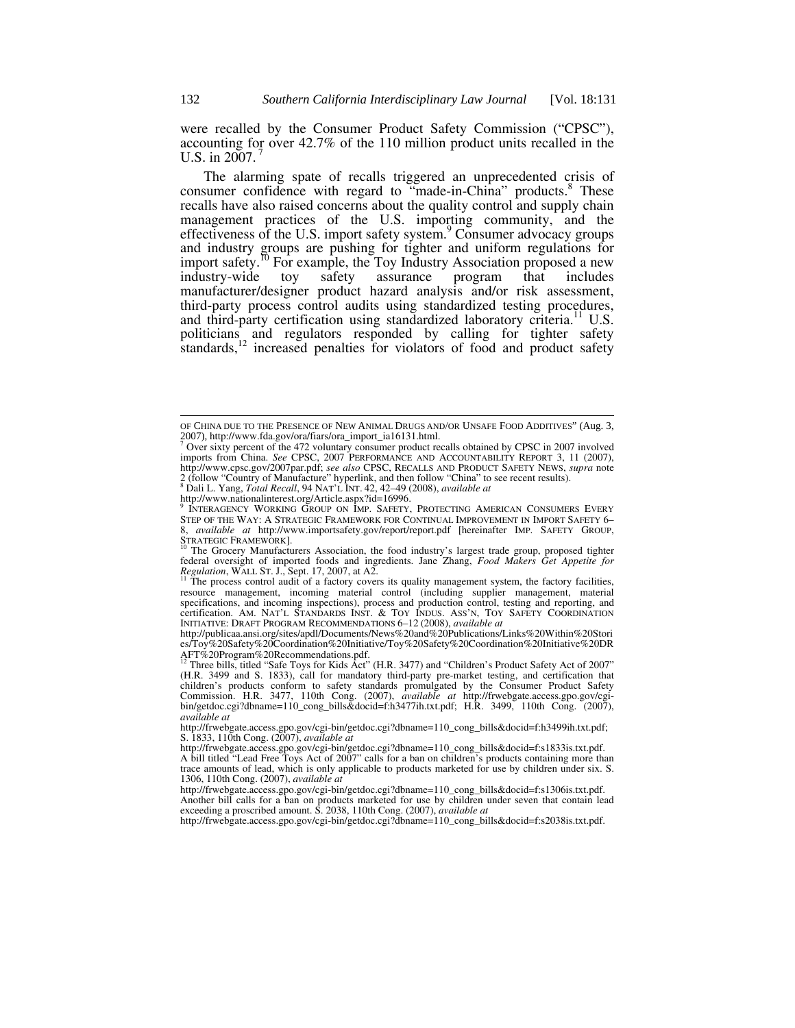were recalled by the Consumer Product Safety Commission ("CPSC"), accounting for over 42.7% of the 110 million product units recalled in the U.S. in  $2007$ .

The alarming spate of recalls triggered an unprecedented crisis of consumer confidence with regard to "made-in-China" products.<sup>8</sup> These recalls have also raised concerns about the quality control and supply chain management practices of the U.S. importing community, and the effectiveness of the U.S. import safety system.<sup>9</sup> Consumer advocacy groups and industry groups are pushing for tighter and uniform regulations for import safety.<sup>10</sup> For example, the Toy Industry Association proposed a new industry-wide toy safety assurance program that includes manufacturer/designer product hazard analysis and/or risk assessment, third-party process control audits using standardized testing procedures, and third-party certification using standardized laboratory criteria.<sup>11</sup> U.S. politicians and regulators responded by calling for tighter safety standards,<sup>12</sup> increased penalties for violators of food and product safety

STRATEGIC FRAMEWORK].<br><sup>10</sup> The Grocery Manufacturers Association, the food industry's largest trade group, proposed tighter federal oversight of imported foods and ingredients. Jane Zhang, *Food Makers Get Appetite for Regulation*, WALL ST. J., Sept. 17, 2007, at A2. 11 The process control audit of a factory covers its quality management system, the factory facilities,

http://frwebgate.access.gpo.gov/cgi-bin/getdoc.cgi?dbname=110\_cong\_bills&docid=f:s2038is.txt.pdf.

l

OF CHINA DUE TO THE PRESENCE OF NEW ANIMAL DRUGS AND/OR UNSAFE FOOD ADDITIVES" (Aug. 3, 2007), http://www.fda.gov/ora/fiars/ora\_import\_ia16131.html. <sup>7</sup>

<sup>&</sup>lt;sup>7</sup> Over sixty percent of the 472 voluntary consumer product recalls obtained by CPSC in 2007 involved imports from China. *See* CPSC, 2007 PERFORMANCE AND ACCOUNTABILITY REPORT 3, 11 (2007), http://www.cpsc.gov/2007par.pdf; *see also* CPSC, RECALLS AND PRODUCT SAFETY NEWS, *supra* note 2 (follow "Country of Manufacture" hyperlink, and then follow "China" to see recent results). 8 Dali L. Yang, *Total Recall*, 94 NAT'L INT. 42, 42–49 (2008), *available at*

http://www.nationalinterest.org/Article.aspx?id=16996.

INTERAGENCY WORKING GROUP ON IMP. SAFETY, PROTECTING AMERICAN CONSUMERS EVERY STEP OF THE WAY: A STRATEGIC FRAMEWORK FOR CONTINUAL IMPROVEMENT IN IMPORT SAFETY 6– 8, *available at* http://www.importsafety.gov/report/report.pdf [hereinafter IMP. SAFETY GROUP,

resource management, incoming material control (including supplier management, material specifications, and incoming inspections), process and production control, testing and reporting, and certification. AM. NAT'L STANDARDS INST. & TOY INDUS. ASS'N, TOY SAFETY COORDINATION INITIATIVE: DRAFT PROGRAM RECOMMENDATIONS 6–12 (2008), *available at*

http://publicaa.ansi.org/sites/apdl/Documents/News%20and%20Publications/Links%20Within%20Stori es/Toy%20Safety%20Coordination%20Initiative/Toy%20Safety%20Coordination%20Initiative%20DR AFT%20Program%20Recommendations.pdf.<br><sup>12</sup> Three bills, titled "Safe Toys for Kids Act" (H.R. 3477) and "Children's Product Safety Act of 2007"

<sup>(</sup>H.R. 3499 and S. 1833), call for mandatory third-party pre-market testing, and certification that children's products conform to safety standards promulgated by the Consumer Product Safety<br>Commission. H.R. 3477, 110th Cong. (2007), *available at* http://frwebgate.access.gpo.gov/cgi-<br>bin/getdoc.cgi?dbname=110\_cong\_bills *available at*

http://frwebgate.access.gpo.gov/cgi-bin/getdoc.cgi?dbname=110\_cong\_bills&docid=f:h3499ih.txt.pdf; S. 1833, 110th Cong. (2007), *available at*

http://frwebgate.access.gpo.gov/cgi-bin/getdoc.cgi?dbname=110\_cong\_bills&docid=f:s1833is.txt.pdf. A bill titled "Lead Free Toys Act of 2007" calls for a ban on children's products containing more than trace amounts of lead, which is only applicable to products marketed for use by children under six. S. 1306, 110th Cong. (2007), *available at*

http://frwebgate.access.gpo.gov/cgi-bin/getdoc.cgi?dbname=110\_cong\_bills&docid=f:s1306is.txt.pdf. Another bill calls for a ban on products marketed for use by children under seven that contain lead exceeding a proscribed amount. S. 2038, 110th Cong. (2007), *available at*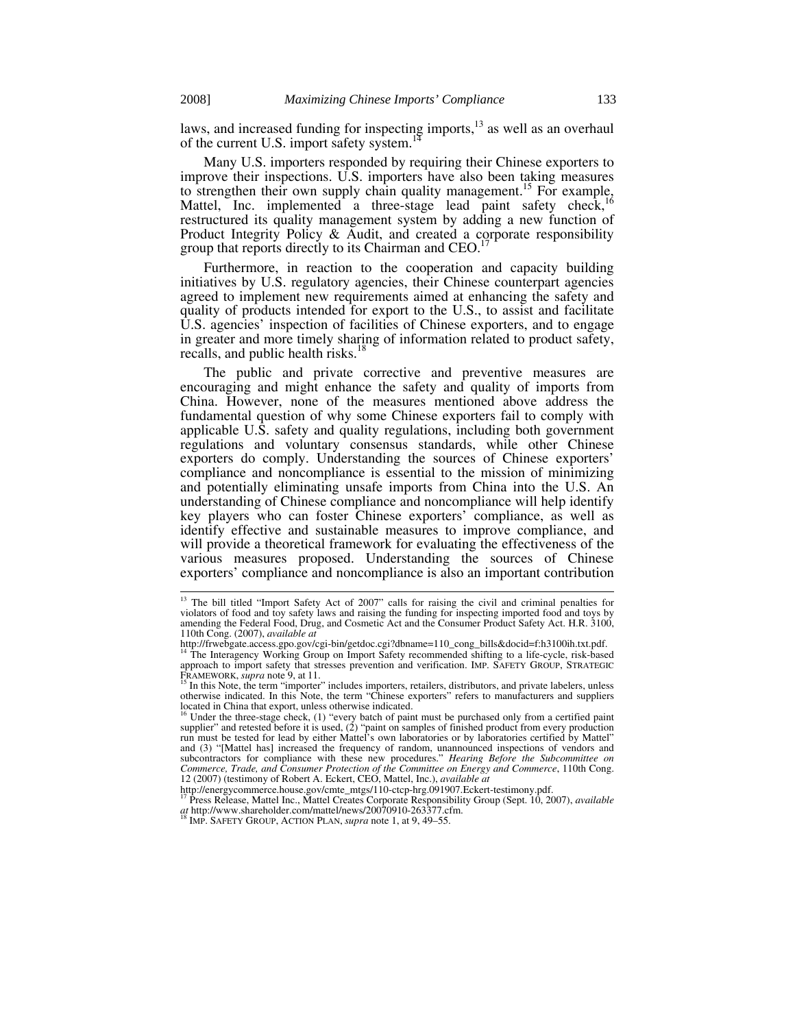laws, and increased funding for inspecting imports,<sup>13</sup> as well as an overhaul of the current U.S. import safety system.<sup>17</sup>

Many U.S. importers responded by requiring their Chinese exporters to improve their inspections. U.S. importers have also been taking measures to strengthen their own supply chain quality management.<sup>15</sup> For example, Mattel, Inc. implemented a three-stage lead paint safety check,<sup>16</sup> restructured its quality management system by adding a new function of Product Integrity Policy  $\&$  Audit, and created a corporate responsibility group that reports directly to its Chairman and CEO.<sup>1</sup>

Furthermore, in reaction to the cooperation and capacity building initiatives by U.S. regulatory agencies, their Chinese counterpart agencies agreed to implement new requirements aimed at enhancing the safety and quality of products intended for export to the U.S., to assist and facilitate U.S. agencies' inspection of facilities of Chinese exporters, and to engage in greater and more timely sharing of information related to product safety, recalls, and public health risks.<sup>18</sup>

The public and private corrective and preventive measures are encouraging and might enhance the safety and quality of imports from China. However, none of the measures mentioned above address the fundamental question of why some Chinese exporters fail to comply with applicable U.S. safety and quality regulations, including both government regulations and voluntary consensus standards, while other Chinese exporters do comply. Understanding the sources of Chinese exporters' compliance and noncompliance is essential to the mission of minimizing and potentially eliminating unsafe imports from China into the U.S. An understanding of Chinese compliance and noncompliance will help identify key players who can foster Chinese exporters' compliance, as well as identify effective and sustainable measures to improve compliance, and will provide a theoretical framework for evaluating the effectiveness of the various measures proposed. Understanding the sources of Chinese exporters' compliance and noncompliance is also an important contribution

<sup>&</sup>lt;sup>13</sup> The bill titled "Import Safety Act of 2007" calls for raising the civil and criminal penalties for violators of food and toy safety laws and raising the funding for inspecting imported food and toys by amending the Federal Food, Drug, and Cosmetic Act and the Consumer Product Safety Act. H.R. 3100, 110th Cong. (2007), *available at*

http://frwebgate.access.gpo.gov/cgi-bin/getdoc.cgi?dbname=110\_cong\_bills&docid=f:h3100ih.txt.pdf. 14 The Interagency Working Group on Import Safety recommended shifting to a life-cycle, risk-based

approach to import safety that stresses prevention and verification. IMP. SAFETY GROUP, STRATEGIC FRAMEWORK, *supra* note 9, at 11.<br><sup>15</sup> In this Note, the term "importer" includes importers, retailers, distributors, and private labelers, unless

otherwise indicated. In this Note, the term "Chinese exporters" refers to manufacturers and suppliers located in China that export, unless otherwise indicated.<br><sup>16</sup> Under the three-stage check, (1) "every batch of paint must be purchased only from a certified paint

supplier" and retested before it is used, (2) "paint on samples of finished product from every production run must be tested for lead by either Mattel's own laboratories or by laboratories certified by Mattel" and (3) "[Mattel has] increased the frequency of random, unannounced inspections of vendors and subcontractors for compliance with these new procedures." *Hearing Before the Subcommittee on Commerce, Trade, and Consumer Protection of the Committee on Energy and Commerce*, 110th Cong. 12 (2007) (testimony of Robert A. Eckert, CEO, Mattel, Inc.), *available at*

http://energycommerce.house.gov/cmte\_mtgs/110-ctcp-hrg.091907.Eckert-testimony.pdf. 17 Press Release, Mattel Inc., Mattel Creates Corporate Responsibility Group (Sept. 10, 2007), *available at* http://www.shareholder.com/mattel/news/20070910-263377.cfm. 18 IMP. SAFETY GROUP, ACTION PLAN, *supra* note 1, at 9, 49*–*55.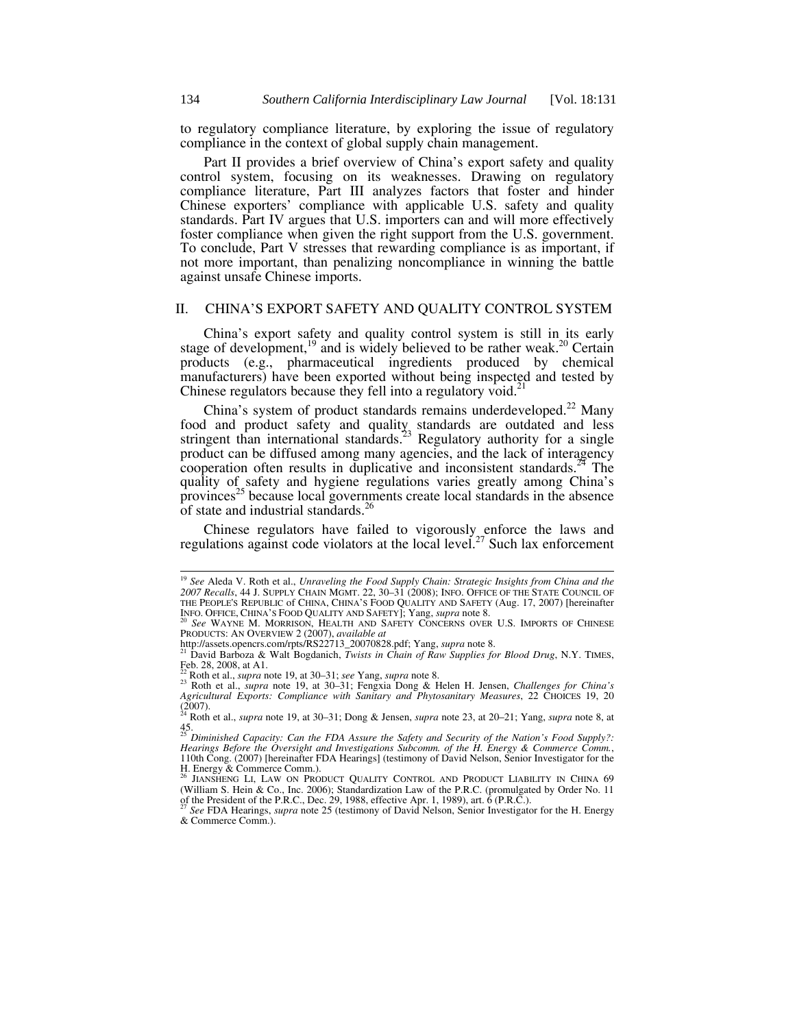to regulatory compliance literature, by exploring the issue of regulatory compliance in the context of global supply chain management.

Part II provides a brief overview of China's export safety and quality control system, focusing on its weaknesses. Drawing on regulatory compliance literature, Part III analyzes factors that foster and hinder Chinese exporters' compliance with applicable U.S. safety and quality standards. Part IV argues that U.S. importers can and will more effectively foster compliance when given the right support from the U.S. government. To conclude, Part V stresses that rewarding compliance is as important, if not more important, than penalizing noncompliance in winning the battle against unsafe Chinese imports.

### II. CHINA'S EXPORT SAFETY AND QUALITY CONTROL SYSTEM

China's export safety and quality control system is still in its early stage of development,<sup>19</sup> and is widely believed to be rather weak.<sup>20</sup> Certain products (e.g., pharmaceutical ingredients produced by chemical manufacturers) have been exported without being inspected and tested by Chinese regulators because they fell into a regulatory void.<sup>21</sup>

China's system of product standards remains underdeveloped.<sup>22</sup> Many food and product safety and quality standards are outdated and less stringent than international standards.<sup>23</sup> Regulatory authority for a single product can be diffused among many agencies, and the lack of interagency cooperation often results in duplicative and inconsistent standards.<sup>24</sup> The quality of safety and hygiene regulations varies greatly among China's provinces<sup>25</sup> because local governments create local standards in the absence of state and industrial standards.<sup>26</sup>

Chinese regulators have failed to vigorously enforce the laws and regulations against code violators at the local level.<sup>27</sup> Such lax enforcement

 <sup>19</sup> *See* Aleda V. Roth et al., *Unraveling the Food Supply Chain: Strategic Insights from China and the 2007 Recalls*, 44 J. SUPPLY CHAIN MGMT. 22, 30*–*31 (2008); INFO. OFFICE OF THE STATE COUNCIL OF THE PEOPLE'S REPUBLIC of CHINA, CHINA'S FOOD QUALITY AND SAFETY (Aug. 17, 2007) [hereinafter INC OFFICE, CHINA'S FOOD QUALITY AND SAFETY]; Yang, *supra* note 8.

See WAYNE M. MORRISON, HEALTH AND SAFETY CONCERNS OVER U.S. IMPORTS OF CHINESE PRODUCTS: AN OVERVIEW 2 (2007), *available at*<br>http://assets.opencrs.com/rpts/RS22713\_20070828.pdf; Yang, *supra* note 8.<br><sup>21</sup> David Barboza & Walt Bogdanich, *Twists in Chain of Raw Supplies for Blood Drug*, N.Y. TIMES,

Feb. 28, 2008, at A1.<br>
<sup>22</sup> Roth et al., *supra* note 19, at 30–31; *see Yang, supra* note 8.

<sup>23</sup> Roth et al., *supra* note 19, at 30–31; Fengxia Dong & Helen H. Jensen, *Challenges for China's* <sup>23</sup> Roth et al., *supra* note 19, at 30–31; Fengxia Dong & Helen H. Jensen, *Challenges for China's Agricultural Exports: Compliance with Sanitary and Phytosanitary Measures*, 22 CHOICES 19, 20 (2007). 24 Roth et al., *supra* note 19, at 30*–*31; Dong & Jensen, *supra* note 23, at 20–21; Yang, *supra* note 8, at

<sup>45.</sup>  <sup>25</sup> *Diminished Capacity: Can the FDA Assure the Safety and Security of the Nation's Food Supply?:* 

*Hearings Before the Oversight and Investigations Subcomm. of the H. Energy & Commerce Comm.*, 110th Cong. (2007) [hereinafter FDA Hearings] (testimony of David Nelson, Senior Investigator for the H. Energy & Commerce Comm.).<br><sup>26</sup> JIANSHENG LI, LAW ON PRODUCT QUALITY CONTROL AND PRODUCT LIABILITY IN CHINA 69

<sup>(</sup>William S. Hein & Co., Inc. 2006); Standardization Law of the P.R.C. (promulgated by Order No. 11 of the President of the P.R.C., Dec. 29, 1988, effective Apr. 1, 1989), art. 6 (P.R.C.).

<sup>27</sup> *See* FDA Hearings, *supra* note 25 (testimony of David Nelson, Senior Investigator for the H. Energy & Commerce Comm.).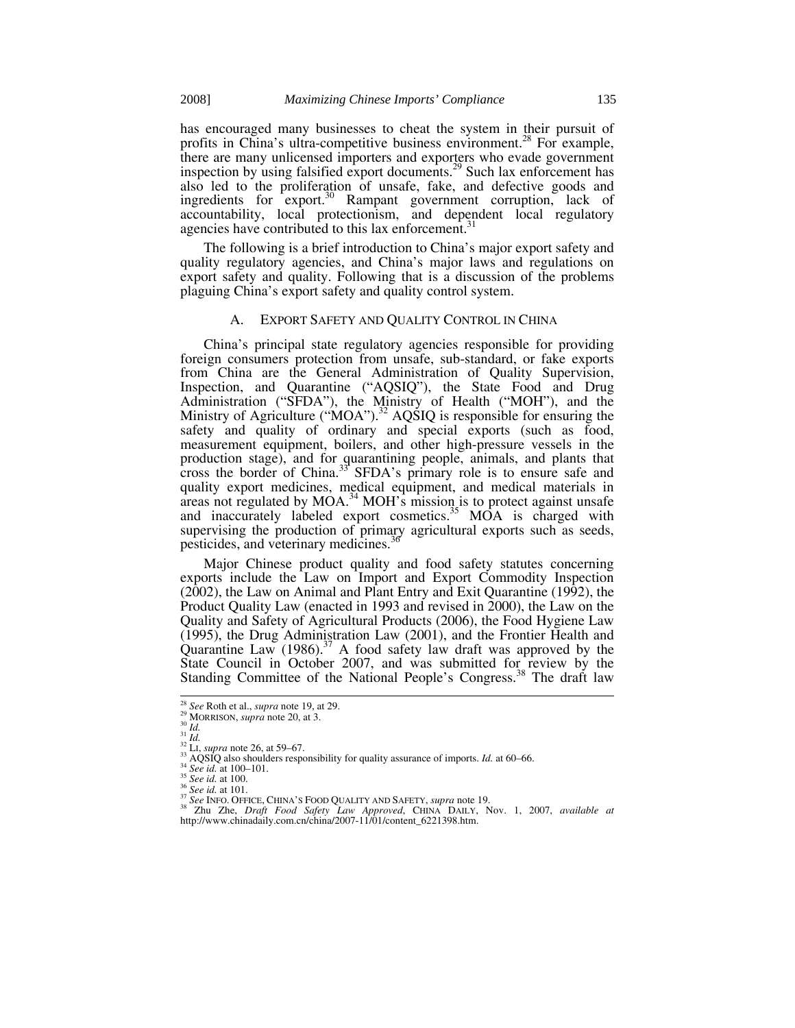has encouraged many businesses to cheat the system in their pursuit of profits in China's ultra-competitive business environment.<sup>28</sup> For example, there are many unlicensed importers and exporters who evade government inspection by using falsified export documents.<sup>29</sup> Such lax enforcement has also led to the proliferation of unsafe, fake, and defective goods and ingredients for export.<sup>30</sup> Rampant government corruption, lack of accountability, local protectionism, and dependent local regulatory agencies have contributed to this lax enforcement.<sup>3</sup>

The following is a brief introduction to China's major export safety and quality regulatory agencies, and China's major laws and regulations on export safety and quality. Following that is a discussion of the problems plaguing China's export safety and quality control system.

#### A. EXPORT SAFETY AND QUALITY CONTROL IN CHINA

China's principal state regulatory agencies responsible for providing foreign consumers protection from unsafe, sub-standard, or fake exports from China are the General Administration of Quality Supervision, Inspection, and Quarantine ("AQSIQ"), the State Food and Drug Administration ("SFDA"), the Ministry of Health ("MOH"), and the Ministry of Agriculture (" $MOA$ ").<sup>32</sup> AQSIQ is responsible for ensuring the safety and quality of ordinary and special exports (such as food, measurement equipment, boilers, and other high-pressure vessels in the production stage), and for quarantining people, animals, and plants that cross the border of China.<sup>33</sup> SFDA's primary role is to ensure safe and quality export medicines, medical equipment, and medical materials in  $\frac{1}{2}$  areas not regulated by MOA.<sup>34</sup> MOH's mission is to protect against unsafe and inaccurately labeled export cosmetics.<sup>35</sup> MOA is charged with supervising the production of primary agricultural exports such as seeds, pesticides, and veterinary medicines.<sup>3</sup>

Major Chinese product quality and food safety statutes concerning exports include the Law on Import and Export Commodity Inspection (2002), the Law on Animal and Plant Entry and Exit Quarantine (1992), the Product Quality Law (enacted in 1993 and revised in 2000), the Law on the Quality and Safety of Agricultural Products (2006), the Food Hygiene Law (1995), the Drug Administration Law (2001), and the Frontier Health and Quarantine Law  $(1986)$ .<sup>37</sup> A food safety law draft was approved by the State Council in October 2007, and was submitted for review by the Standing Committee of the National People's Congress.<sup>38</sup> The draft law

<sup>&</sup>lt;sup>28</sup> See Roth et al., *supra* note 19, at 29.<br><sup>29</sup> MORRISON, *supra* note 20, at 3.<br><sup>31</sup> Id.<br><sup>32</sup> L1, *supra* note 26, at 59–67.<br><sup>33</sup> AQSIQ also shoulders responsibility for quality assurance of imports. Id. at 60–66.<br><sup>35</sup> http://www.chinadaily.com.cn/china/2007-11/01/content\_6221398.htm.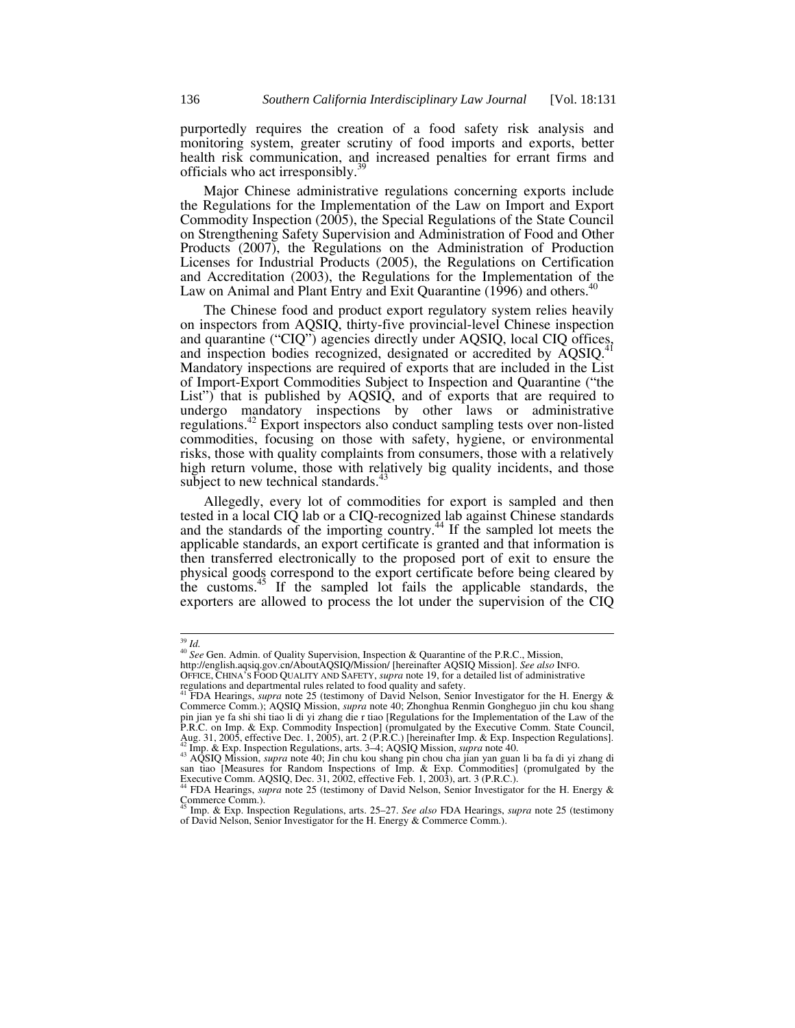purportedly requires the creation of a food safety risk analysis and monitoring system, greater scrutiny of food imports and exports, better health risk communication, and increased penalties for errant firms and officials who act irresponsibly.<sup>3</sup>

Major Chinese administrative regulations concerning exports include the Regulations for the Implementation of the Law on Import and Export Commodity Inspection (2005), the Special Regulations of the State Council on Strengthening Safety Supervision and Administration of Food and Other Products (2007), the Regulations on the Administration of Production Licenses for Industrial Products (2005), the Regulations on Certification and Accreditation (2003), the Regulations for the Implementation of the Law on Animal and Plant Entry and Exit Quarantine (1996) and others.<sup>4</sup>

The Chinese food and product export regulatory system relies heavily on inspectors from AQSIQ, thirty-five provincial-level Chinese inspection and quarantine ("CIQ") agencies directly under AQSIQ, local CIQ offices, and inspection bodies recognized, designated or accredited by AQSIQ.<sup>4</sup> Mandatory inspections are required of exports that are included in the List of Import-Export Commodities Subject to Inspection and Quarantine ("the List") that is published by AQSIQ, and of exports that are required to undergo mandatory inspections by other laws or administrative regulations.42 Export inspectors also conduct sampling tests over non-listed commodities, focusing on those with safety, hygiene, or environmental risks, those with quality complaints from consumers, those with a relatively high return volume, those with relatively big quality incidents, and those subject to new technical standards.<sup>4</sup>

Allegedly, every lot of commodities for export is sampled and then tested in a local CIQ lab or a CIQ-recognized lab against Chinese standards and the standards of the importing country. $44$  If the sampled lot meets the applicable standards, an export certificate is granted and that information is then transferred electronically to the proposed port of exit to ensure the physical goods correspond to the export certificate before being cleared by the customs.45 If the sampled lot fails the applicable standards, the exporters are allowed to process the lot under the supervision of the CIQ

<sup>&</sup>lt;sup>39</sup> *Id.* 40 *See* Gen. Admin. of Quality Supervision, Inspection & Quarantine of the P.R.C., Mission, <sup>40</sup> *See* Gen. Admin. of Quality Supervision/ [hereinafter AQSIQ Mission]. *See also* In http://english.aqsiq.gov.cn/AboutAQSIQ/Mission/ [hereinafter AQSIQ Mission]. *See also* INFO. OFFICE, CHINA'S FOOD QUALITY AND SAFETY, *supra* note 19, for a detailed list of administrative regulations and departmental rules related to food quality and safety. 41 FDA Hearings, *supra* note 25 (testimony of David Nelson, Senior Investigator for the H. Energy &

Commerce Comm.); AQSIQ Mission, *supra* note 40; Zhonghua Renmin Gongheguo jin chu kou shang pin jian ye fa shi shi tiao li di yi zhang die r tiao [Regulations for the Implementation of the Law of the P.R.C. on Imp. & Exp. Commodity Inspection] (promulgated by the Executive Comm. State Council, Aug. 31, 2005, effective Dec. 1, 2005), art. 2 (P.R.C.) [hereinafter Imp. & Exp. Inspection Regulations].

<sup>&</sup>lt;sup>42</sup> Imp. & Exp. Inspection Regulations, arts. 3–4; AQSIQ Mission, *supra* note 40.<br><sup>43</sup> AQSIQ Mission, *supra* note 40; Jin chu kou shang pin chou cha jian yan guan li ba fa di yi zhang di<br> $\frac{1}{2}$  Line of Line Commodit san tiao [Measures for Random Inspections of Imp. & Exp. Commodities] (promulgated by the Executive Comm. AQSIQ, Dec. 31, 2002, effective Feb. 1, 2003), art. 3 (P.R.C.).

<sup>44</sup> FDA Hearings, *supra* note 25 (testimony of David Nelson, Senior Investigator for the H. Energy & Commerce Comm.). 45 Imp. & Exp. Inspection Regulations, arts. 25–27. *See also* FDA Hearings, *supra* note 25 (testimony

of David Nelson, Senior Investigator for the H. Energy & Commerce Comm.).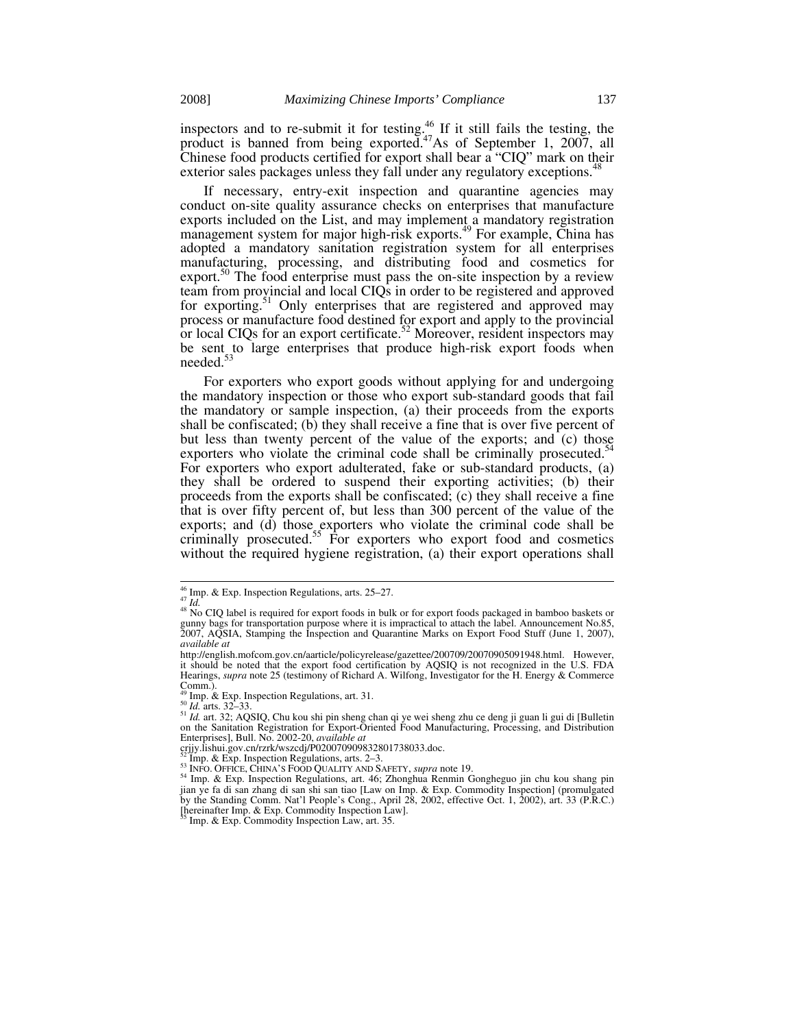inspectors and to re-submit it for testing.<sup>46</sup> If it still fails the testing, the product is banned from being exported.<sup>47</sup>As of September 1, 2007, all Chinese food products certified for export shall bear a "CIQ" mark on their exterior sales packages unless they fall under any regulatory exceptions.<sup>4</sup>

If necessary, entry-exit inspection and quarantine agencies may conduct on-site quality assurance checks on enterprises that manufacture exports included on the List, and may implement a mandatory registration management system for major high-risk exports.<sup>49</sup> For example, China has adopted a mandatory sanitation registration system for all enterprises manufacturing, processing, and distributing food and cosmetics for export.<sup>50</sup> The food enterprise must pass the on-site inspection by a review team from provincial and local CIQs in order to be registered and approved for exporting.<sup>51</sup> Only enterprises that are registered and approved may process or manufacture food destined for export and apply to the provincial or local CIQs for an export certificate.<sup>52</sup> Moreover, resident inspectors may be sent to large enterprises that produce high-risk export foods when needed.<sup>53</sup>

For exporters who export goods without applying for and undergoing the mandatory inspection or those who export sub-standard goods that fail the mandatory or sample inspection, (a) their proceeds from the exports shall be confiscated; (b) they shall receive a fine that is over five percent of but less than twenty percent of the value of the exports; and (c) those exporters who violate the criminal code shall be criminally prosecuted.<sup>5</sup> For exporters who export adulterated, fake or sub-standard products, (a) they shall be ordered to suspend their exporting activities; (b) their proceeds from the exports shall be confiscated; (c) they shall receive a fine that is over fifty percent of, but less than 300 percent of the value of the exports; and (d) those exporters who violate the criminal code shall be criminally prosecuted.<sup>55</sup> For exporters who export food and cosmetics without the required hygiene registration, (a) their export operations shall

<sup>&</sup>lt;sup>46</sup> Imp. & Exp. Inspection Regulations, arts. 25–27.<br><sup>47</sup> *Id.* 48 No CIQ label is required for export foods in bulk or for export foods packaged in bamboo baskets or gunny bags for transportation purpose where it is impractical to attach the label. Announcement No.85, 2007, AQSIA, Stamping the Inspection and Quarantine Marks on Export Food Stuff (June 1, 2007), *available at*

http://english.mofcom.gov.cn/aarticle/policyrelease/gazettee/200709/20070905091948.html. However, it should be noted that the export food certification by AQSIQ is not recognized in the U.S. FDA Hearings, *supra* note 25 (testimony of Richard A. Wilfong, Investigator for the H. Energy & Commerce Comm.).<br><sup>49</sup> Imp. & Exp. Inspection Regulations, art. 31.

<sup>49</sup> Imp. & Exp. Inspection Regulations, art. 31. 50 *Id.* arts. 32*–*33. 51 *Id.* art. 32; AQSIQ, Chu kou shi pin sheng chan qi ye wei sheng zhu ce deng ji guan li gui di [Bulletin on the Sanitation Registration for Export-Oriented Food Manufacturing, Processing, and Distribution Enterprises], Bull. No. 2002-20, *available at*

crijy.lishui.gov.cn/rzrk/wszcdj/P020070909832801738033.doc.<br><sup>52</sup> Imp. & Exp. Inspection Regulations, arts. 2–3.

<sup>&</sup>lt;sup>53</sup> INFO. OFFICE, CHINA'S FOOD QUALITY AND SAFETY, *supra* note 19.<br><sup>54</sup> Imp. & Exp. Inspection Regulations, art. 46; Zhonghua Renmin Gongheguo jin chu kou shang pin jian ye fa di san zhang di san shi san tiao [Law on Imp. & Exp. Commodity Inspection] (promulgated by the Standing Comm. Nat'l People's Cong., April 28, 2002, effective Oct. 1, 2002), art. 33 (P.R.C.) [hereinafter Imp. & Exp. Commodity Inspection Law]. 55 Imp. & Exp. Commodity Inspection Law, art. 35.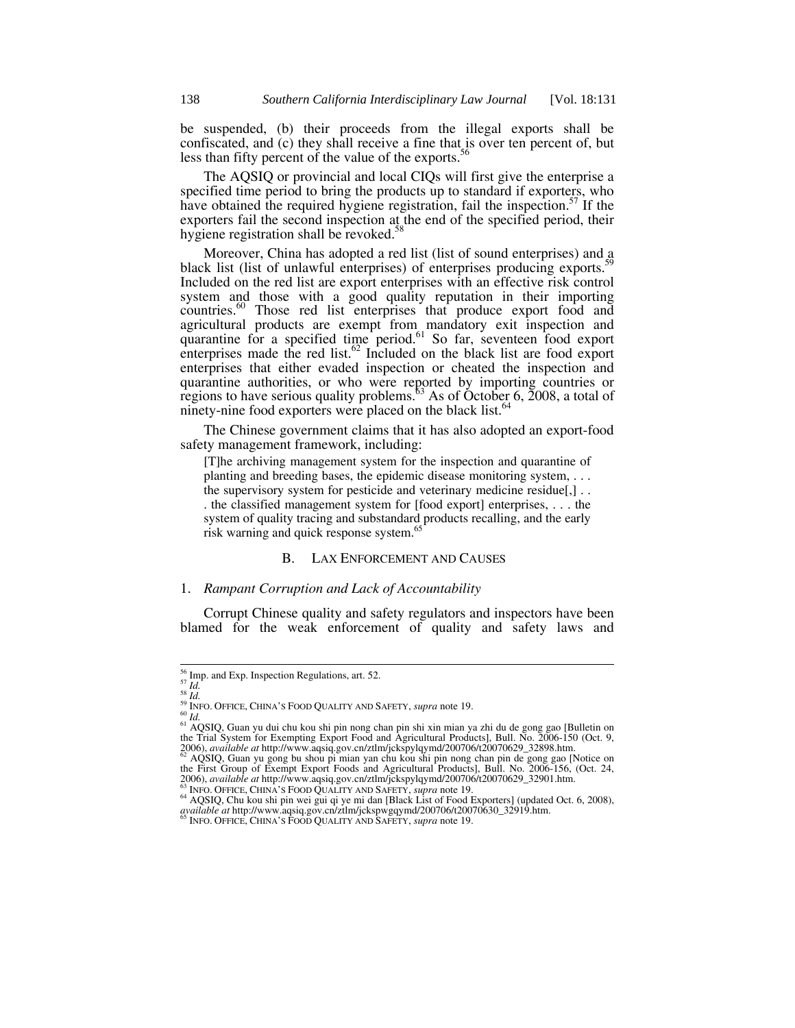be suspended, (b) their proceeds from the illegal exports shall be confiscated, and (c) they shall receive a fine that is over ten percent of, but less than fifty percent of the value of the exports.<sup>56</sup>

The AQSIQ or provincial and local CIQs will first give the enterprise a specified time period to bring the products up to standard if exporters, who have obtained the required hygiene registration, fail the inspection.<sup>57</sup> If the exporters fail the second inspection at the end of the specified period, their hygiene registration shall be revoked.<sup>5</sup>

Moreover, China has adopted a red list (list of sound enterprises) and a black list (list of unlawful enterprises) of enterprises producing exports.<sup>5</sup> Included on the red list are export enterprises with an effective risk control system and those with a good quality reputation in their importing countries.<sup>60</sup> Those red list enterprises that produce export food and agricultural products are exempt from mandatory exit inspection and quarantine for a specified time period.<sup>61</sup> So far, seventeen food export enterprises made the red list.<sup>62</sup> Included on the black list are food export enterprises that either evaded inspection or cheated the inspection and quarantine authorities, or who were reported by importing countries or regions to have serious quality problems.<sup>53</sup> As of October 6, 2008, a total of ninety-nine food exporters were placed on the black list.<sup>64</sup>

The Chinese government claims that it has also adopted an export-food safety management framework, including:

[T]he archiving management system for the inspection and quarantine of planting and breeding bases, the epidemic disease monitoring system, . . . the supervisory system for pesticide and veterinary medicine residue[,] . . . the classified management system for [food export] enterprises, . . . the system of quality tracing and substandard products recalling, and the early risk warning and quick response system.<sup>65</sup>

## B. LAX ENFORCEMENT AND CAUSES

### 1. *Rampant Corruption and Lack of Accountability*

Corrupt Chinese quality and safety regulators and inspectors have been blamed for the weak enforcement of quality and safety laws and

<sup>&</sup>lt;sup>56</sup> Imp. and Exp. Inspection Regulations, art. 52.<br>
<sup>58</sup> Id.<br>
<sup>58</sup> Id.<br>
<sup>59</sup> INFO. OFFICE, CHINA'S FOOD QUALITY AND SAFETY, *supra* note 19.<br>
<sup>60</sup> Id.

<sup>&</sup>lt;sup>61</sup> AQSIQ, Guan yu dui chu kou shi pin nong chan pin shi xin mian ya zhi du de gong gao [Bulletin on the Trial System for Exempting Export Food and Agricultural Products], Bull. No. 2006-150 (Oct. 9, 2006), *available at* 

<sup>2006),</sup> *available at* http://www.aqsiq.gov.cn/ztlm/jckspylqymd/200706/t20070629\_32898.htm.<br><sup>62</sup> AQSIQ, Guan yu gong bu shou pi mian yan chu kou shi pin nong chan pin de gong gao [Notice on the First Group of Exempt Export

<sup>&</sup>lt;sup>63</sup> INFO. OFFICE, CHINA'S FOOD QUALITY AND SAFETY, *supra* note 19.<br><sup>64</sup> AQSIQ, Chu kou shi pin wei gui qi ye mi dan [Black List of Food Exporters] (updated Oct. 6, 2008), *available at* http://www.aqsiq.gov.cn/ztlm/jckspwgqymd/200706/t20070630\_32919.htm. 65 INFO. OFFICE, CHINA'S FOOD QUALITY AND SAFETY, *supra* note 19.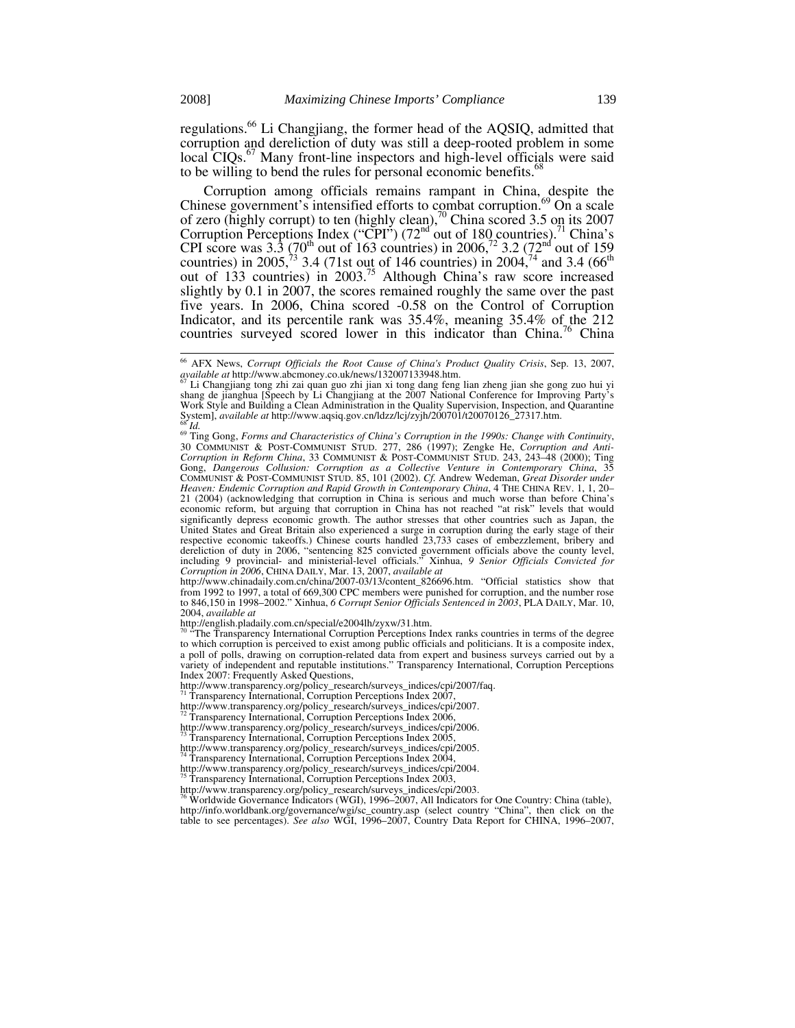regulations.<sup>66</sup> Li Changjiang, the former head of the AQSIQ, admitted that corruption and dereliction of duty was still a deep-rooted problem in some local CIQs.<sup>67</sup> Many front-line inspectors and high-level officials were said to be willing to bend the rules for personal economic benefits.<sup>6</sup>

Corruption among officials remains rampant in China, despite the Chinese government's intensified efforts to combat corruption.<sup>69</sup> On a scale of zero (highly corrupt) to ten (highly clean), $\frac{70}{9}$  China scored 3.5 on its 2007 Corruption Perceptions Index ("CPI") (72<sup>nd</sup> out of 180 countries).<sup>71</sup> China's CPI score was 3.3 (70<sup>th</sup> out of 163 countries) in 2006,<sup>72</sup> 3.2 (72<sup>nd</sup> out of 159 countries) in 2005,<sup>73</sup> 3.4 (71st out of 146 countries) in 2004,<sup>74</sup> and 3.4 (66<sup>th</sup>) out of 133 countries) in 2003.75 Although China's raw score increased slightly by 0.1 in 2007, the scores remained roughly the same over the past five years. In 2006, China scored -0.58 on the Control of Corruption Indicator, and its percentile rank was 35.4%, meaning 35.4% of the 212 countries surveyed scored lower in this indicator than  $China$ <sup>76</sup> China

http://www.chinadaily.com.cn/china/2007-03/13/content\_826696.htm. "Official statistics show that from 1992 to 1997, a total of 669,300 CPC members were punished for corruption, and the number rose to 846,150 in 1998–2002." Xinhua, *6 Corrupt Senior Officials Sentenced in 2003*, PLA DAILY, Mar. 10, 2004, *available at*

http://english.pladaily.com.cn/special/e2004lh/zyxw/31.htm.

The Transparency International Corruption Perceptions Index ranks countries in terms of the degree to which corruption is perceived to exist among public officials and politicians. It is a composite index, a poll of polls, drawing on corruption-related data from expert and business surveys carried out by a variety of independent and reputable institutions." Transparency International, Corruption Perceptions Index 2007: Frequently Asked Questions,

http://www.transparency.org/policy\_research/surveys\_indices/cpi/2007/faq. 71 Transparency International, Corruption Perceptions Index 2007,

http://www.transparency.org/policy\_research/surveys\_indices/cpi/2007.<br>
<sup>72</sup> Transparency International, Corruption Perceptions Index 2006,

http://www.transparency.org/policy\_research/surveys\_indices/cpi/2006.<br>
<sup>73</sup> Transparency International, Corruption Perceptions Index 2005,

http://www.transparency.org/policy\_research/surveys\_indices/cpi/2005. 74 Transparency International, Corruption Perceptions Index 2004,

http://www.transparency.org/policy\_research/surveys\_indices/cpi/2004. 75 Transparency International, Corruption Perceptions Index 2003,

http://www.transparency.org/policy\_research/surveys\_indices/cpi/2003.<br>
<sup>76</sup> Worldwide Governance Indicators (WGI), 1996–2007, All Indicators for One Country: China (table),<br>
<sup>76</sup> Worldwide Governance Indicators (WGI), 1996 http://info.worldbank.org/governance/wgi/sc\_country.asp (select country "China", then click on the table to see percentages). *See also* WGI, 1996–2007, Country Data Report for CHINA, 1996*–*2007,

<sup>&</sup>lt;sup>66</sup> AFX News, *Corrupt Officials the Root Cause of China's Product Quality Crisis*, Sep. 13, 2007, *available at http://www.abcmoney.co.uk/news/132007133948.htm.* 

available at http://www.abcmoney.co.uk/news/132007133948.htm.<br>
<sup>67</sup> Li Changjiang tong zhi zai quan guo zhi jian xi tong dang feng lian zheng jian she gong zuo hui yi shang de jianghua [Speech by Li Changjiang at the 2007 Work Style and Building a Clean Administration in the Quality Supervision, Inspection, and Quarantine System], available at http://www.aqsiq.gov.cn/ldzz/lcj/zyjh/200701/t20070126\_27317.htm.

<sup>&</sup>lt;sup>os</sup> Id.<br><sup>69</sup> Ting Gong, *Forms and Characteristics of China's Corruption in the 1990s: Change with Continuity,* 30 COMMUNIST & POST-COMMUNIST STUD. 277, 286 (1997); Zengke He, *Corruption and Anti-Corruption in Reform China*, 33 COMMUNIST & POST-COMMUNIST STUD. 243, 243*–*48 (2000); Ting Gong, *Dangerous Collusion: Corruption as a Collective Venture in Contemporary China*, 35 COMMUNIST & POST-COMMUNIST STUD. 85, 101 (2002). *Cf.* Andrew Wedeman, *Great Disorder under Heaven: Endemic Corruption and Rapid Growth in Contemporary China*, 4 THE CHINA REV. 1, 1, 20*–* 21 (2004) (acknowledging that corruption in China is serious and much worse than before China's economic reform, but arguing that corruption in China has not reached "at risk" levels that would significantly depress economic growth. The author stresses that other countries such as Japan, the United States and Great Britain also experienced a surge in corruption during the early stage of their respective economic takeoffs.) Chinese courts handled 23,733 cases of embezzlement, bribery and dereliction of duty in 2006, "sentencing 825 convicted government officials above the county level, including 9 provincial- and ministerial-level officials." Xinhua, *9 Senior Officials Convicted for Corruption in 2006*, CHINA DAILY, Mar. 13, 2007, *available at*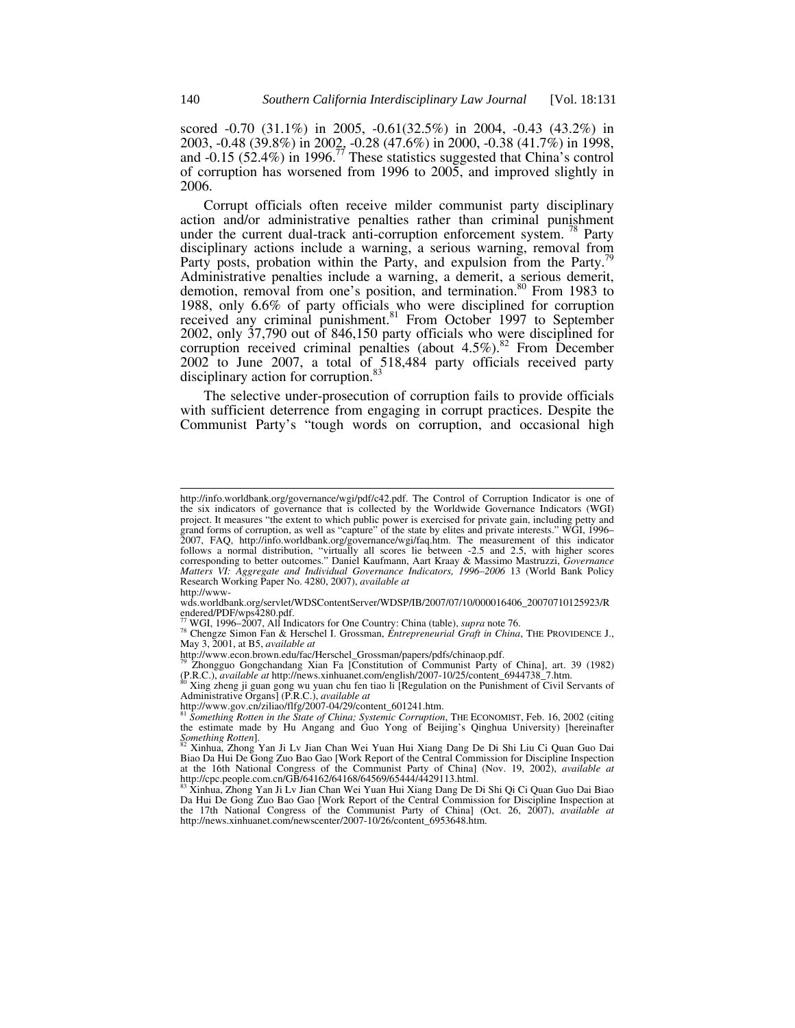scored -0.70 (31.1%) in 2005, -0.61(32.5%) in 2004, -0.43 (43.2%) in 2003, -0.48 (39.8%) in 2002, -0.28 (47.6%) in 2000, -0.38 (41.7%) in 1998, and -0.15 (52.4%) in 1996.<sup>77</sup> These statistics suggested that China's control of corruption has worsened from 1996 to 2005, and improved slightly in 2006.

Corrupt officials often receive milder communist party disciplinary action and/or administrative penalties rather than criminal punishment under the current dual-track anti-corruption enforcement system.<sup>78</sup> Party disciplinary actions include a warning, a serious warning, removal from Party posts, probation within the Party, and expulsion from the Party.<sup>7</sup> Administrative penalties include a warning, a demerit, a serious demerit, demotion, removal from one's position, and termination.<sup>80</sup> From 1983 to 1988, only 6.6% of party officials who were disciplined for corruption received any criminal punishment.<sup>81</sup> From October 1997 to September 2002, only 37,790 out of 846,150 party officials who were disciplined for corruption received criminal penalties (about  $4.5\%$ ).<sup>82</sup> From December 2002 to June 2007, a total of 518,484 party officials received party disciplinary action for corruption.<sup>83</sup>

The selective under-prosecution of corruption fails to provide officials with sufficient deterrence from engaging in corrupt practices. Despite the Communist Party's "tough words on corruption, and occasional high

http://info.worldbank.org/governance/wgi/pdf/c42.pdf. The Control of Corruption Indicator is one of the six indicators of governance that is collected by the Worldwide Governance Indicators (WGI) project. It measures "the extent to which public power is exercised for private gain, including petty and grand forms of corruption, as well as "capture" of the state by elites and private interests." WGI, 1996– 2007, FAQ, http://info.worldbank.org/governance/wgi/faq.htm. The measurement of this indicator follows a normal distribution, "virtually all scores lie between -2.5 and 2.5, with higher scores corresponding to better outcomes." Daniel Kaufmann, Aart Kraay & Massimo Mastruzzi, *Governance Matters VI: Aggregate and Individual Governance Indicators, 1996–2006* 13 (World Bank Policy Research Working Paper No. 4280, 2007), *available at*

http://www-

wds.worldbank.org/servlet/WDSContentServer/WDSP/IB/2007/07/10/000016406\_20070710125923/R endered/PDF/wps4280.pdf.<br>
<sup>77</sup> WGI, 1996–2007, All Indicators for One Country: China (table), *supra* note 76.

<sup>77</sup> WGI, 1996–2007, All Indicators for One Country: China (table), *supra* note 76. 78 Chengze Simon Fan & Herschel I. Grossman, *Entrepreneurial Graft in China*, THE PROVIDENCE J., May 3, 2001, at B5, *available at*

 $\frac{79}{72}$  Zhongguo Gongchandang Xian Fa [Constitution of Communist Party of China], art. 39 (1982)<br>(P.R.C.), *available at* http://news.xinhuanet.com/english/2007-10/25/content\_6944738\_7.htm.

<sup>(</sup>P.R.C.), *available at* http://news.xinhuanet.com/english/2007-10/25/content\_6944738\_7.htm.<br><sup>80</sup> Xing zheng ji guan gong wu yuan chu fen tiao li [Regulation on the Punishment of Civil Servants of Administrative Organs] (P

http://www.gov.cn/ziliao/flfg/2007-04/29/content\_601241.htm.<br><sup>81</sup> Something Rotten in the State of China; Systemic Corruption, THE ECONOMIST, Feb. 16, 2002 (citing the estimate made by Hu Angang and Guo Yong of Beijing's Qinghua University) [hereinafter Something Rotten].

*Something Rotten*]. 82 Xinhua, Zhong Yan Ji Lv Jian Chan Wei Yuan Hui Xiang Dang De Di Shi Liu Ci Quan Guo Dai Biao Da Hui De Gong Zuo Bao Gao [Work Report of the Central Commission for Discipline Inspection at the 16th National Congress of the Communist Party of China] (Nov. 19, 2002), *available at*  http://cpc.people.com.cn/GB/64162/64168/64569/65444/4429113.html.<br><sup>83</sup> Xinhua, Zhong Yan Ji Lv Jian Chan Wei Yuan Hui Xiang Dang De Di Shi Qi Ci Quan Guo Dai Biao

<sup>&</sup>lt;sup>83</sup> Xinhua, Zhong Yan Ji Lv Jian Chan Wei Yuan Hui Xiang Dang De Di Shi Qi Ci Quan Guo Dai Biao Da Hui De Gong Zuo Bao Gao [Work Report of the Central Commission for Discipline Inspection at the 17th National Congress of the Communist Party of China] (Oct. 26, 2007), *available at* http://news.xinhuanet.com/newscenter/2007-10/26/content\_6953648.htm.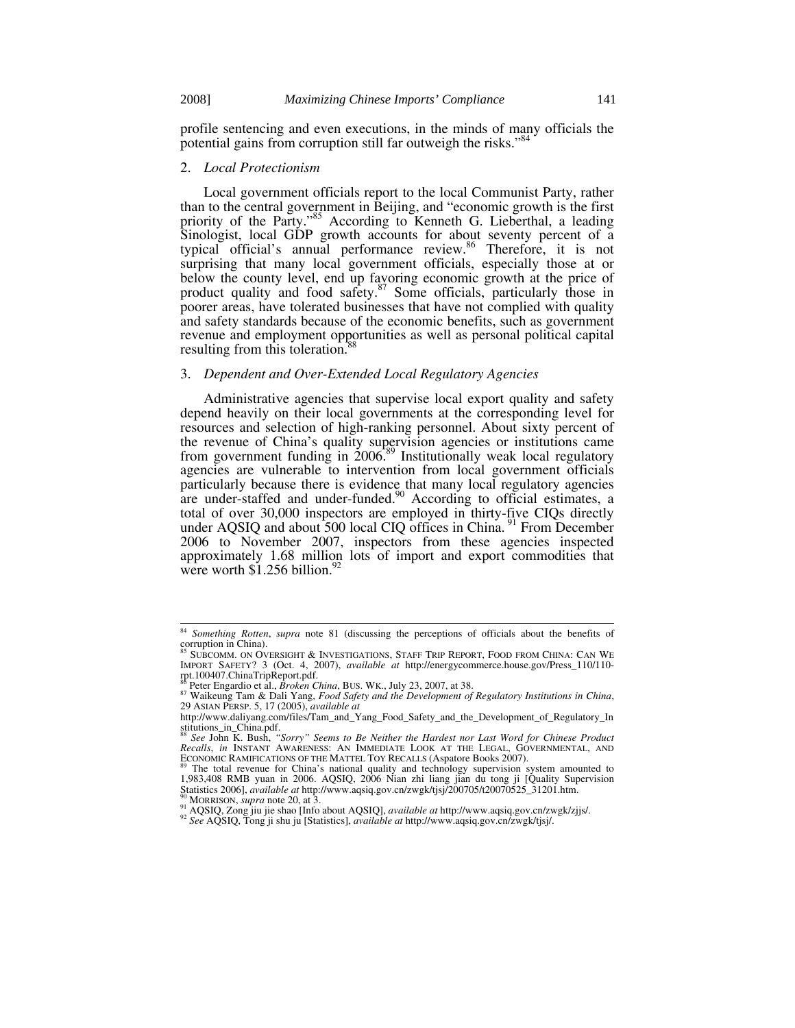profile sentencing and even executions, in the minds of many officials the potential gains from corruption still far outweigh the risks."<sup>84</sup>

#### 2. *Local Protectionism*

Local government officials report to the local Communist Party, rather than to the central government in Beijing, and "economic growth is the first priority of the Party."<sup>85</sup> According to Kenneth G. Lieberthal, a leading Sinologist, local GDP growth accounts for about seventy percent of a typical official's annual performance review.<sup>86</sup> Therefore, it is not surprising that many local government officials, especially those at or below the county level, end up favoring economic growth at the price of product quality and food safety.<sup>87</sup> Some officials, particularly those in poorer areas, have tolerated businesses that have not complied with quality and safety standards because of the economic benefits, such as government revenue and employment opportunities as well as personal political capital resulting from this toleration.<sup>8</sup>

## 3. *Dependent and Over-Extended Local Regulatory Agencies*

Administrative agencies that supervise local export quality and safety depend heavily on their local governments at the corresponding level for resources and selection of high-ranking personnel. About sixty percent of the revenue of China's quality supervision agencies or institutions came from government funding in  $2006^{89}$  Institutionally weak local regulatory agencies are vulnerable to intervention from local government officials particularly because there is evidence that many local regulatory agencies are under-staffed and under-funded.<sup>90</sup> According to official estimates, a total of over 30,000 inspectors are employed in thirty-five CIQs directly under AQSIQ and about 500 local CIQ offices in China. <sup>91</sup> From December 2006 to November 2007, inspectors from these agencies inspected approximately 1.68 million lots of import and export commodities that were worth  $$1.256$  billion.<sup>9</sup>

 <sup>84</sup> *Something Rotten*, *supra* note 81 (discussing the perceptions of officials about the benefits of corruption in China).

SUBCOMM. ON OVERSIGHT & INVESTIGATIONS, STAFF TRIP REPORT, FOOD FROM CHINA: CAN WE IMPORT SAFETY? 3 (Oct. 4, 2007), *available at* http://energycommerce.house.gov/Press\_110/110 rpt.100407.ChinaTripReport.pdf.<br><sup>86</sup> Peter Engardio et al., *Broken China*, BUS. WK., July 23, 2007, at 38.

<sup>&</sup>lt;sup>87</sup> Peter Engardio et al., *Broken China*, DoS. WA., Jury 25, 2007, at 201<br><sup>87</sup> Waikeung Tam & Dali Yang, *Food Safety and the Development of Regulatory Institutions in China*, 29 ASIAN PERSP. 5, 17 (2005), *available at* 

http://www.daliyang.com/files/Tam\_and\_Yang\_Food\_Safety\_and\_the\_Development\_of\_Regulatory\_In stitutions\_in\_China.pdf. <sup>88</sup> *See* John K. Bush, *"Sorry" Seems to Be Neither the Hardest nor Last Word for Chinese Product* 

*Recalls*, *in* INSTANT AWARENESS: AN IMMEDIATE LOOK AT THE LEGAL, GOVERNMENTAL, AND ECONOMIC RAMIFICATIONS OF THE MATTEL TOY RECALLS (Aspatore Books 2007). The total revenue for China's national quality and technology supervision system amounted to

<sup>1,983,408</sup> RMB yuan in 2006. AQSIQ, 2006 Nian zhi liang jian du tong ji [Quality Supervision Statistics 2006], *available at* http://www.aqsiq.gov.cn/zwgk/tjsj/200705/t20070525\_31201.htm.

<sup>&</sup>lt;sup>90</sup> MORRISON, *supra* note 20, at 3.<br><sup>91</sup> AQSIQ, Zong jiu jie shao [Info about AQSIQ], *available at* http://www.aqsiq.gov.cn/zwgk/zjjs/.<br><sup>92</sup> *See* AQSIQ, Tong ji shu ju [Statistics], *available at* http://www.aqsiq.gov.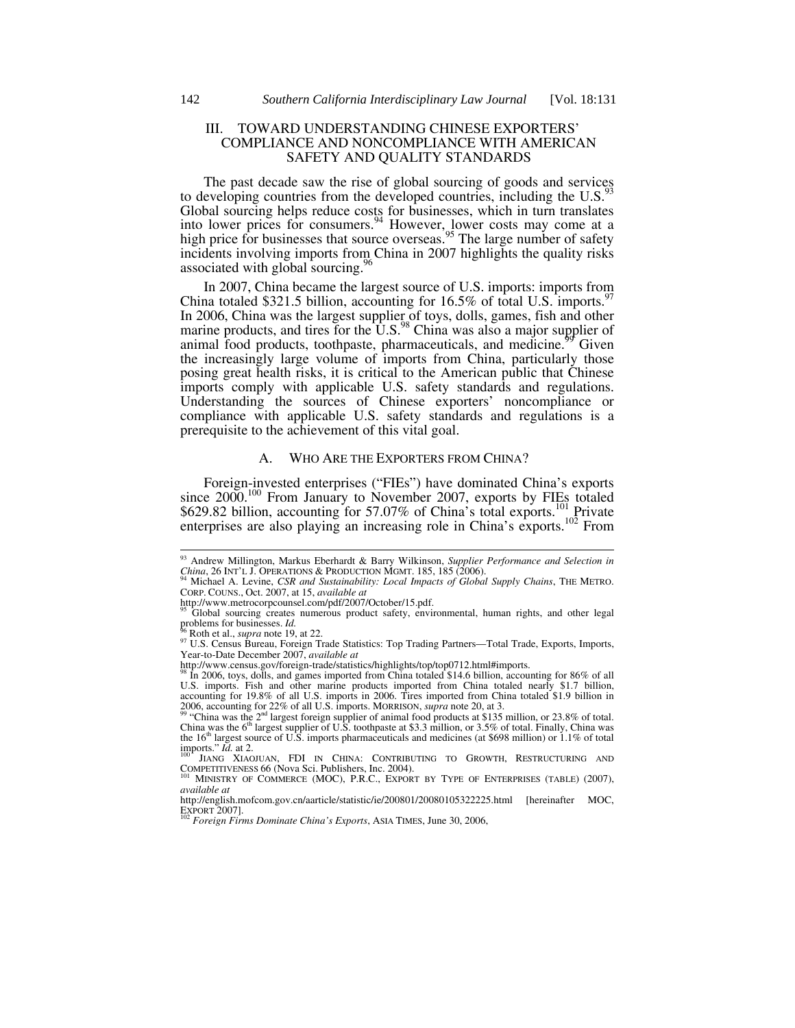## III. TOWARD UNDERSTANDING CHINESE EXPORTERS' COMPLIANCE AND NONCOMPLIANCE WITH AMERICAN SAFETY AND QUALITY STANDARDS

The past decade saw the rise of global sourcing of goods and services to developing countries from the developed countries, including the  $\mathrm{U.S.}^{93}$ Global sourcing helps reduce costs for businesses, which in turn translates into lower prices for consumers.<sup>94</sup> However, lower costs may come at a high price for businesses that source overseas.<sup>95</sup> The large number of safety incidents involving imports from China in 2007 highlights the quality risks associated with global sourcing.<sup>9</sup>

In 2007, China became the largest source of U.S. imports: imports from China totaled \$321.5 billion, accounting for  $16.5\%$  of total U.S. imports.<sup>9</sup> In 2006, China was the largest supplier of toys, dolls, games, fish and other marine products, and tires for the  $\overline{U}.S.^{98}$  China was also a major supplier of animal food products, toothpaste, pharmaceuticals, and medicine.<sup>99</sup> Given the increasingly large volume of imports from China, particularly those posing great health risks, it is critical to the American public that Chinese imports comply with applicable U.S. safety standards and regulations. Understanding the sources of Chinese exporters' noncompliance or compliance with applicable U.S. safety standards and regulations is a prerequisite to the achievement of this vital goal.

### A. WHO ARE THE EXPORTERS FROM CHINA?

Foreign-invested enterprises ("FIEs") have dominated China's exports since  $2000$ <sup>100</sup> From January to November 2007, exports by FIEs totaled \$629.82 billion, accounting for 57.07% of China's total exports.<sup>101</sup> Private enterprises are also playing an increasing role in China's exports.<sup>102</sup> From

 <sup>93</sup> Andrew Millington, Markus Eberhardt & Barry Wilkinson, *Supplier Performance and Selection in China*, 26 INT'L J. OPERATIONS & PRODUCTION MGMT. 185, 185 (2006). 94 Michael A. Levine, *CSR and Sustainability: Local Impacts of Global Supply Chains*, THE METRO.

CORP. COUNS., Oct. 2007, at 15, *available at* 

http://www.metrocorpcounsel.com/pdf/2007/October/15.pdf. 95 Global sourcing creates numerous product safety, environmental, human rights, and other legal groblems for businesses.  $Id$ .

problems for businesses. *Id.* 96 Roth et al., *supra* note 19, at 22. 97 U.S. Census Bureau, Foreign Trade Statistics: Top Trading Partners—Total Trade, Exports, Imports, Year-to-Date December 2007, *available at*

http://www.census.gov/foreign-trade/statistics/highlights/top/top0712.html#imports. 98 In 2006, toys, dolls, and games imported from China totaled \$14.6 billion, accounting for 86% of all

U.S. imports. Fish and other marine products imported from China totaled nearly \$1.7 billion, accounting for 19.8% of all U.S. imports in 2006. Tires imported from China totaled \$1.9 billion in

<sup>2006,</sup> accounting for 22% of all U.S. imports. MORRISON, *supra* note 20, at 3.<br><sup>99</sup> "China was the 2<sup>nd</sup> largest foreign supplier of animal food products at \$135 million, or 23.8% of total.<br>China was the 6<sup>th</sup> largest sup imports." *Id.* at 2.<br><sup>100</sup> JIANG XIAOJUAN, FDI IN CHINA: CONTRIBUTING TO GROWTH, RESTRUCTURING AND

COMPETITIVENESS 66 (Nova Sci. Publishers, Inc. 2004).<br><sup>101</sup> MINISTRY OF COMMERCE (MOC), P.R.C., EXPORT BY TYPE OF ENTERPRISES (TABLE) (2007),

<sup>&</sup>lt;sup>101</sup> MINISTRY OF COMMERCE (MOC), P.R.C., EXPORT BY TYPE OF ENTERPRISES (TABLE) (2007), *available at* 

http://english.mofcom.gov.cn/aarticle/statistic/ie/200801/20080105322225.html [hereinafter MOC, EXPORT 2007]. 102 *Foreign Firms Dominate China's Exports*, ASIA TIMES, June 30, 2006,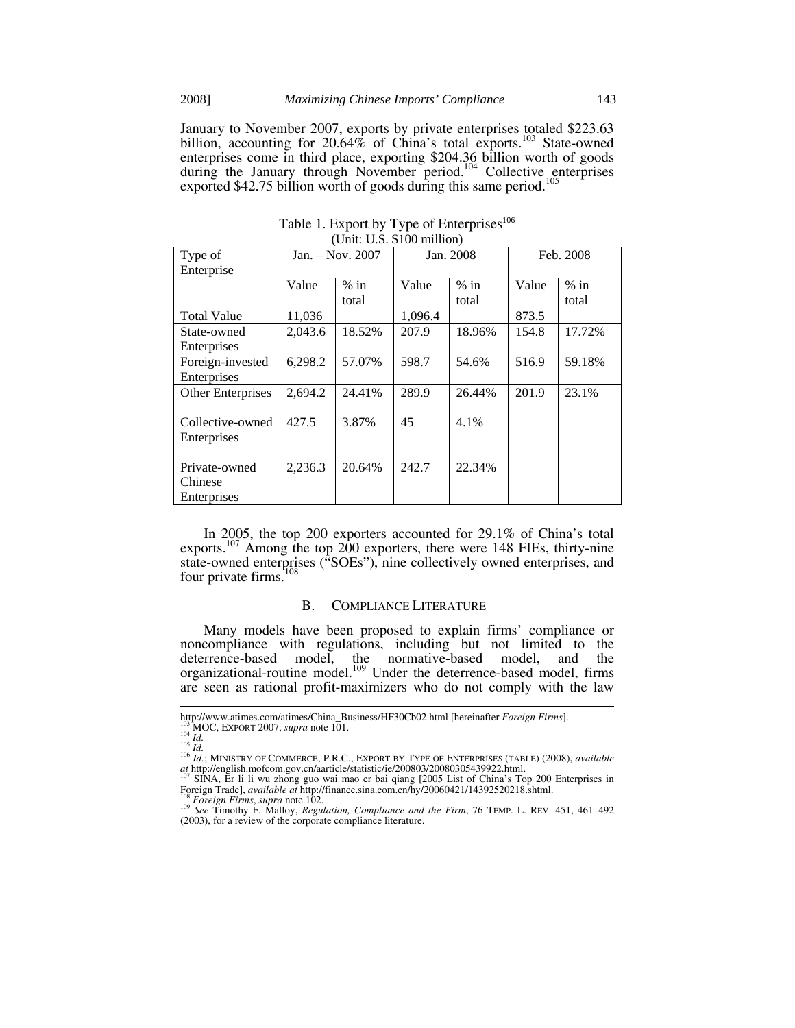January to November 2007, exports by private enterprises totaled \$223.63 billion, accounting for 20.64% of China's total exports.<sup>103</sup> State-owned enterprises come in third place, exporting \$204.36 billion worth of goods during the January through November period.<sup>104</sup> Collective enterprises exported  $$42.75$  billion worth of goods during this same period.<sup>105</sup>

| Type of            | $Jan. - Nov. 2007$ |        | Jan. 2008 |        | Feb. 2008 |        |
|--------------------|--------------------|--------|-----------|--------|-----------|--------|
| Enterprise         |                    |        |           |        |           |        |
|                    | Value              | $%$ in | Value     | $%$ in | Value     | $%$ in |
|                    |                    | total  |           | total  |           | total  |
| <b>Total Value</b> | 11,036             |        | 1,096.4   |        | 873.5     |        |
| State-owned        | 2,043.6            | 18.52% | 207.9     | 18.96% | 154.8     | 17.72% |
| Enterprises        |                    |        |           |        |           |        |
| Foreign-invested   | 6,298.2            | 57.07% | 598.7     | 54.6%  | 516.9     | 59.18% |
| Enterprises        |                    |        |           |        |           |        |
| Other Enterprises  | 2,694.2            | 24.41% | 289.9     | 26.44% | 201.9     | 23.1%  |
|                    |                    |        |           |        |           |        |
| Collective-owned   | 427.5              | 3.87%  | 45        | 4.1%   |           |        |
| Enterprises        |                    |        |           |        |           |        |
|                    |                    |        |           |        |           |        |
| Private-owned      | 2,236.3            | 20.64% | 242.7     | 22.34% |           |        |
| Chinese            |                    |        |           |        |           |        |
| Enterprises        |                    |        |           |        |           |        |

Table 1. Export by Type of Enterprises<sup>106</sup> (Unit: U.S. \$100 million)

In 2005, the top 200 exporters accounted for 29.1% of China's total exports.<sup>107</sup> Among the top 200 exporters, there were 148 FIEs, thirty-nine state-owned enterprises ("SOEs"), nine collectively owned enterprises, and four private firms.<sup>1</sup>

#### B. COMPLIANCE LITERATURE

Many models have been proposed to explain firms' compliance or noncompliance with regulations, including but not limited to the deterrence-based model, the normative-based model, and the organizational-routine model.<sup>109</sup> Under the deterrence-based model, firms are seen as rational profit-maximizers who do not comply with the law

http://www.atimes.com/atimes/China\_Business/HF30Cb02.html [hereinafter *Foreign Firms*].<br><sup>103</sup> MOC, EXPORT 2007, *supra* note 101.<br><sup>104</sup> Id.<br><sup>105</sup> Id., MINISTRY OF COMMERCE, P.R.C., EXPORT BY TYPE OF ENTERPRISES (TABLE) (2

*at* http://english.mofcom.gov.cn/aarticle/statistic/ie/200803/20080305439922.html. 107 SINA, Er li li wu zhong guo wai mao er bai qiang [2005 List of China's Top 200 Enterprises in

Foreign Trade], *available at* http://finance.sina.com.cn/hy/20060421/14392520218.shtml.<br><sup>108</sup> Foreign Firms, supra note 102.<br><sup>109</sup> See Timothy F. Malloy, *Regulation, Compliance and the Firm, 76* TEMP. L. REV. 451, 461–49

<sup>(2003),</sup> for a review of the corporate compliance literature.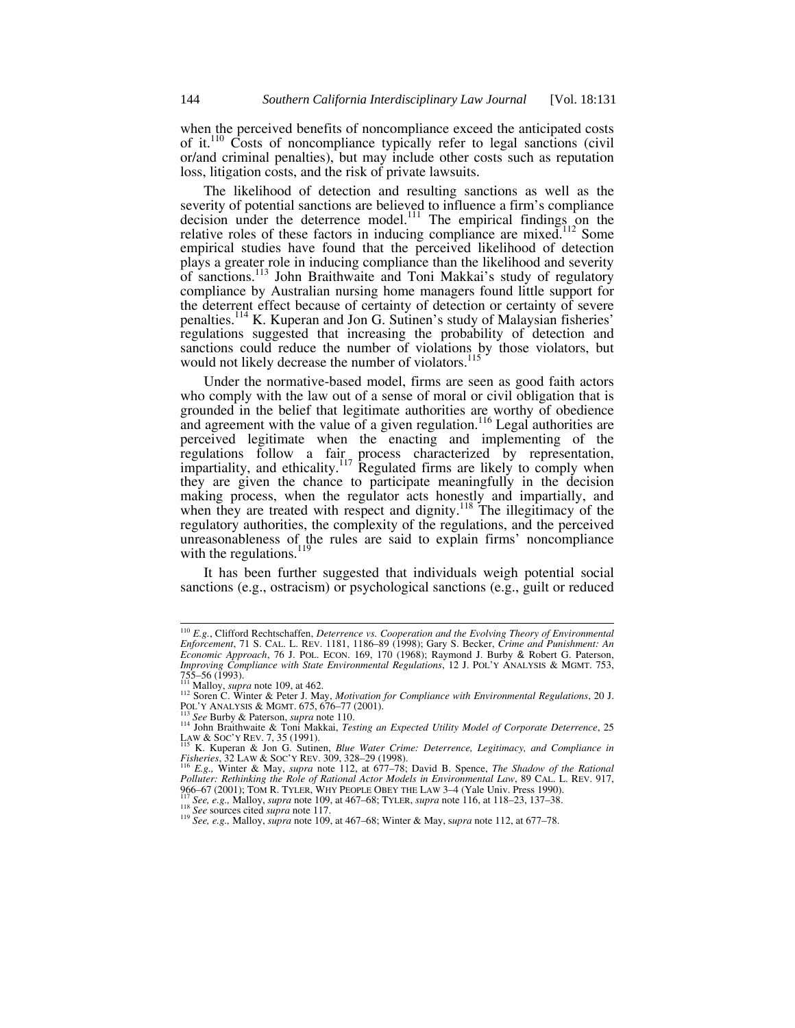when the perceived benefits of noncompliance exceed the anticipated costs of it.110 Costs of noncompliance typically refer to legal sanctions (civil or/and criminal penalties), but may include other costs such as reputation loss, litigation costs, and the risk of private lawsuits.

The likelihood of detection and resulting sanctions as well as the severity of potential sanctions are believed to influence a firm's compliance decision under the deterrence model.<sup>111</sup> The empirical findings on the relative roles of these factors in inducing compliance are mixed.<sup>112</sup> Some empirical studies have found that the perceived likelihood of detection plays a greater role in inducing compliance than the likelihood and severity of sanctions.<sup>113</sup> John Braithwaite and Toni Makkai's study of regulatory compliance by Australian nursing home managers found little support for the deterrent effect because of certainty of detection or certainty of severe penalties.<sup>114</sup> K. Kuperan and Jon G. Sutinen's study of Malaysian fisheries' regulations suggested that increasing the probability of detection and sanctions could reduce the number of violations by those violators, but would not likely decrease the number of violators.<sup>115</sup>

Under the normative-based model, firms are seen as good faith actors who comply with the law out of a sense of moral or civil obligation that is grounded in the belief that legitimate authorities are worthy of obedience and agreement with the value of a given regulation.<sup>116</sup> Legal authorities are perceived legitimate when the enacting and implementing of the regulations follow a fair process characterized by representation, impartiality, and ethicality.<sup>117</sup> Regulated firms are likely to comply when they are given the chance to participate meaningfully in the decision making process, when the regulator acts honestly and impartially, and when they are treated with respect and dignity.<sup>118</sup> The illegitimacy of the regulatory authorities, the complexity of the regulations, and the perceived unreasonableness of the rules are said to explain firms' noncompliance with the regulations. $^{119}$ 

It has been further suggested that individuals weigh potential social sanctions (e.g., ostracism) or psychological sanctions (e.g., guilt or reduced

 <sup>110</sup> *E.g.*, Clifford Rechtschaffen, *Deterrence vs. Cooperation and the Evolving Theory of Environmental Enforcement*, 71 S. CAL. L. REV. 1181, 1186*–*89 (1998); Gary S. Becker, *Crime and Punishment: An Economic Approach*, 76 J. POL. ECON. 169, 170 (1968); Raymond J. Burby & Robert G. Paterson, *Improving Compliance with State Environmental Regulations*, 12 J. POL'Y ANALYSIS & MGMT. 753, 755–56 (1993).<br><sup>111</sup> Malloy, *supra* note 109, at 462.

<sup>&</sup>lt;sup>112</sup> Soren C. Winter & Peter J. May, *Motivation for Compliance with Environmental Regulations*, 20 J.<br>
<sup>112</sup> Soren C. Winter & Peter J. May, *Motivation for Compliance with Environmental Regulations*, 20 J.<br>
<sup>113</sup> See Bu POLYT ANALYSIS & MGMT. 675, 676–77 (2001).<br>
<sup>113</sup> *See* Burby & Paterson, *supra* note 110.<br>
<sup>114</sup> John Braithwaite & Toni Makkai, *Testing an Expected Utility Model of Corporate Deterrence*, 25<br>
LAW & SOC'Y REV. 7, 35 (19

LAW & SOC'Y REV. 7, 35 (1991).<br><sup>115</sup> K. Kuperan & Jon G. Sutinen, *Blue Water Crime: Deterrence, Legitimacy, and Compliance in* 

*Fisheries*, 32 LAW & SOC'Y REV. 309, 328*–*29 (1998). 116 *E.g.,* Winter & May, *supra* note 112, at 677*–*78; David B. Spence, *The Shadow of the Rational* 

Polluter: Rethinking the Role of Rational Actor Models in Environmental Law, 89 CAL. L. REV. 917, 966–67 (2001); TOM R. TYLER, WHY PEOPLE OBEY THE LAW 3–4 (Yale Univ. Press 1990).<br><sup>117</sup> See, e.g., Malloy, *supra* note 109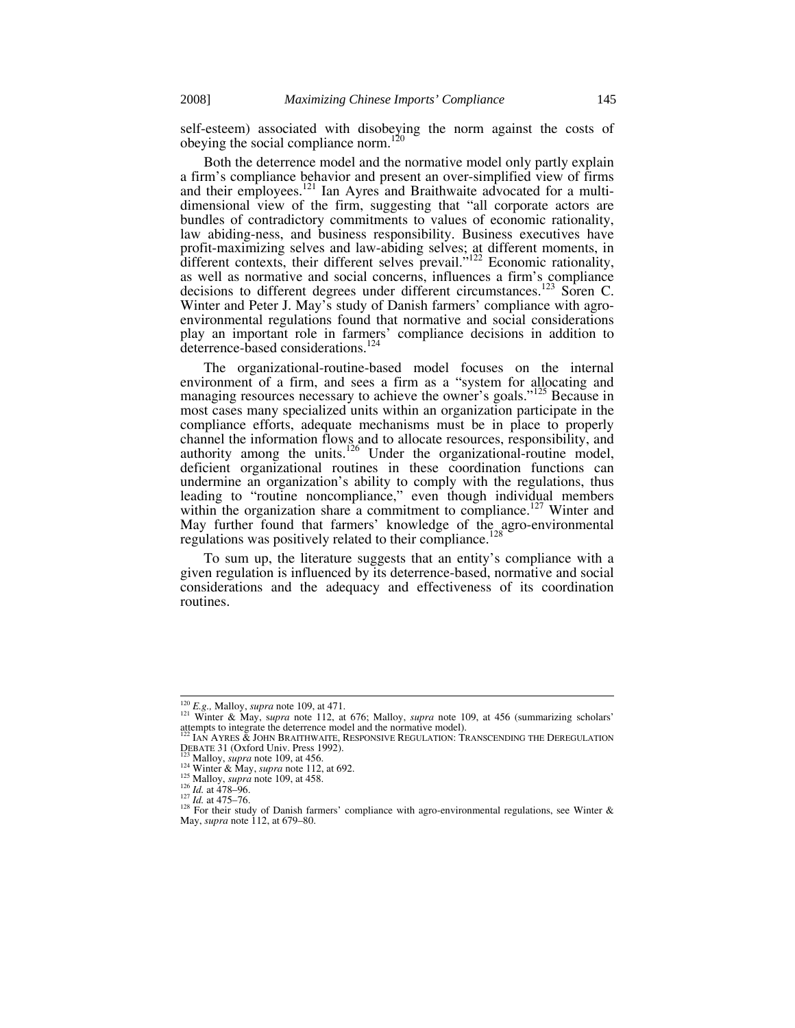self-esteem) associated with disobeying the norm against the costs of obeying the social compliance norm.<sup>120</sup>

Both the deterrence model and the normative model only partly explain a firm's compliance behavior and present an over-simplified view of firms and their employees.<sup>121</sup> Ian Ayres and Braithwaite advocated for a multidimensional view of the firm, suggesting that "all corporate actors are bundles of contradictory commitments to values of economic rationality, law abiding-ness, and business responsibility. Business executives have profit-maximizing selves and law-abiding selves; at different moments, in different contexts, their different selves prevail."<sup>122</sup> Economic rationality, as well as normative and social concerns, influences a firm's compliance decisions to different degrees under different circumstances.<sup>123</sup> Soren C. Winter and Peter J. May's study of Danish farmers' compliance with agroenvironmental regulations found that normative and social considerations play an important role in farmers' compliance decisions in addition to deterrence-based considerations.<sup>124</sup>

The organizational-routine-based model focuses on the internal environment of a firm, and sees a firm as a "system for allocating and managing resources necessary to achieve the owner's goals."<sup>125</sup> Because in most cases many specialized units within an organization participate in the compliance efforts, adequate mechanisms must be in place to properly channel the information flows and to allocate resources, responsibility, and authority among the units.<sup>126</sup> Under the organizational-routine model, deficient organizational routines in these coordination functions can undermine an organization's ability to comply with the regulations, thus leading to "routine noncompliance," even though individual members within the organization share a commitment to compliance.<sup>127</sup> Winter and May further found that farmers' knowledge of the agro-environmental regulations was positively related to their compliance.<sup>128</sup>

To sum up, the literature suggests that an entity's compliance with a given regulation is influenced by its deterrence-based, normative and social considerations and the adequacy and effectiveness of its coordination routines.

<sup>&</sup>lt;sup>120</sup> *E.g.*, Malloy, *supra* note 109, at 471.<br><sup>121</sup> Winter & May, *supra* note 112, at 676; Malloy, *supra* note 109, at 456 (summarizing scholars'

attempts to integrate the deterrence model and the normative model).  $\frac{122}{122}$  IAN AYRES & JOHN BRAITHWAITE, RESPONSIVE REGULATION: TRANSCENDING THE DEREGULATION<br>
DEBATE 31 (Oxford Univ. Press 1992).<br>
<sup>123</sup> Malloy, *s* 

<sup>&</sup>lt;sup>125</sup> Malloy, *supra* note 109, at 458.<br><sup>126</sup> *Id.* at 478–96.<br><sup>126</sup> *Id.* at 475–76.<br><sup>127</sup> *Id.* at 475–76.<br><sup>128</sup> For their study of Danish farmers' compliance with agro-environmental regulations, see Winter & May, *supra* note 112, at 679*–*80.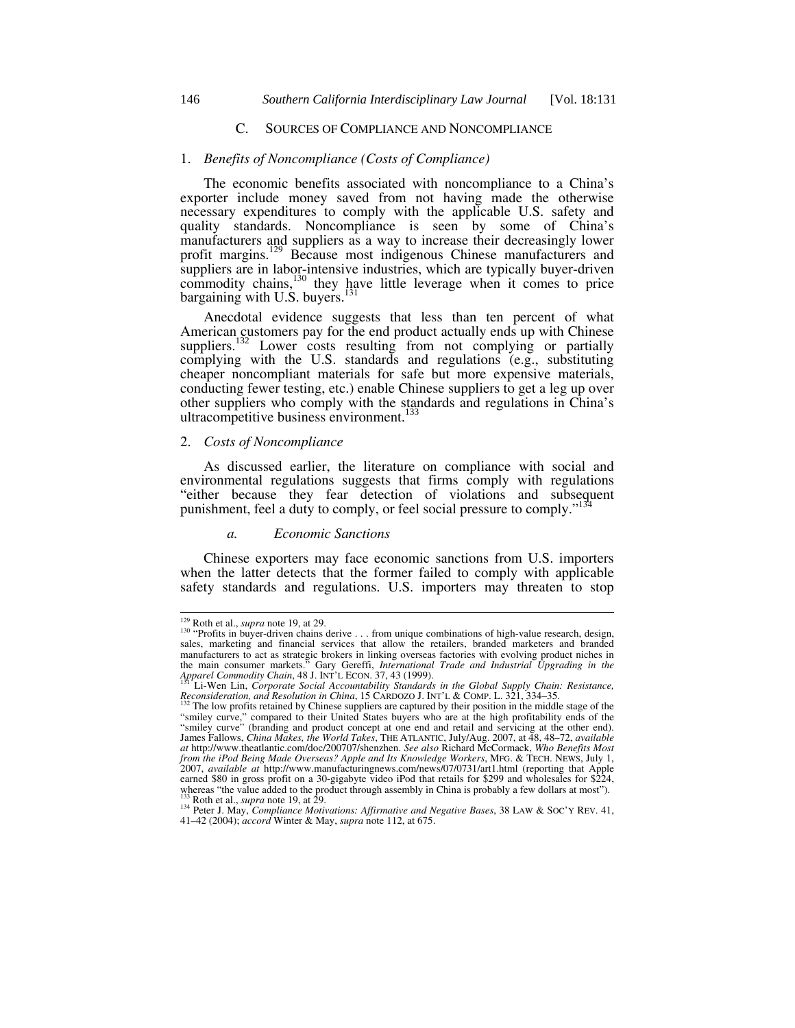## C. SOURCES OF COMPLIANCE AND NONCOMPLIANCE

#### 1. *Benefits of Noncompliance (Costs of Compliance)*

The economic benefits associated with noncompliance to a China's exporter include money saved from not having made the otherwise necessary expenditures to comply with the applicable U.S. safety and quality standards. Noncompliance is seen by some of China's manufacturers and suppliers as a way to increase their decreasingly lower profit margins.<sup>129</sup> Because most indigenous Chinese manufacturers and suppliers are in labor-intensive industries, which are typically buyer-driven commodity chains, $130$  they have little leverage when it comes to price bargaining with U.S. buyers.<sup>131</sup>

Anecdotal evidence suggests that less than ten percent of what American customers pay for the end product actually ends up with Chinese suppliers.<sup>132</sup> Lower costs resulting from not complying or partially complying with the U.S. standards and regulations (e.g., substituting cheaper noncompliant materials for safe but more expensive materials, conducting fewer testing, etc.) enable Chinese suppliers to get a leg up over other suppliers who comply with the standards and regulations in China's ultracompetitive business environment.<sup>133</sup>

## 2. *Costs of Noncompliance*

As discussed earlier, the literature on compliance with social and environmental regulations suggests that firms comply with regulations "either because they fear detection of violations and subsequent punishment, feel a duty to comply, or feel social pressure to comply."

#### *a. Economic Sanctions*

Chinese exporters may face economic sanctions from U.S. importers when the latter detects that the former failed to comply with applicable safety standards and regulations. U.S. importers may threaten to stop

<sup>&</sup>lt;sup>129</sup> Roth et al., *supra* note 19, at 29.<br><sup>130</sup> "Profits in buyer-driven chains derive . . . from unique combinations of high-value research, design, sales, marketing and financial services that allow the retailers, bran manufacturers to act as strategic brokers in linking overseas factories with evolving product niches in<br>the main consumer markets." Gary Gereffi, *International Trade and Industrial Upgrading in the*<br>Apparel Commodity Chai

*Reconsideration, and Resolution in China*, 15 CARDOZO J. INT'L & COMP. L. 321, 334–35.<br><sup>132</sup> The low profits retained by Chinese suppliers are captured by their position in the middle stage of the

<sup>&</sup>quot;smiley curve," compared to their United States buyers who are at the high profitability ends of the "smiley curve" (branding and product concept at one end and retail and servicing at the other end). James Fallows, *China Makes, the World Takes*, THE ATLANTIC, July/Aug. 2007, at 48, 48*–*72, *available at* http://www.theatlantic.com/doc/200707/shenzhen. *See also* Richard McCormack, *Who Benefits Most from the iPod Being Made Overseas? Apple and Its Knowledge Workers*, MFG. & TECH. NEWS, July 1, 2007, *available at* http://www.manufacturingnews.com/news/07/0731/art1.html (reporting that Apple earned \$80 in gross profit on a 30-gigabyte video iPod that retails for \$299 and wholesales for \$224, whereas "the value added to the product through assembly in China is probably a few dollars at most").<br><sup>133</sup> Roth et al., *supra* note 19, at 29.<br><sup>134</sup> Peter J. May, *Compliance Motivations: Affirmative and Negative Bases* 

<sup>41</sup>*–*42 (2004); *accord* Winter & May, *supra* note 112, at 675.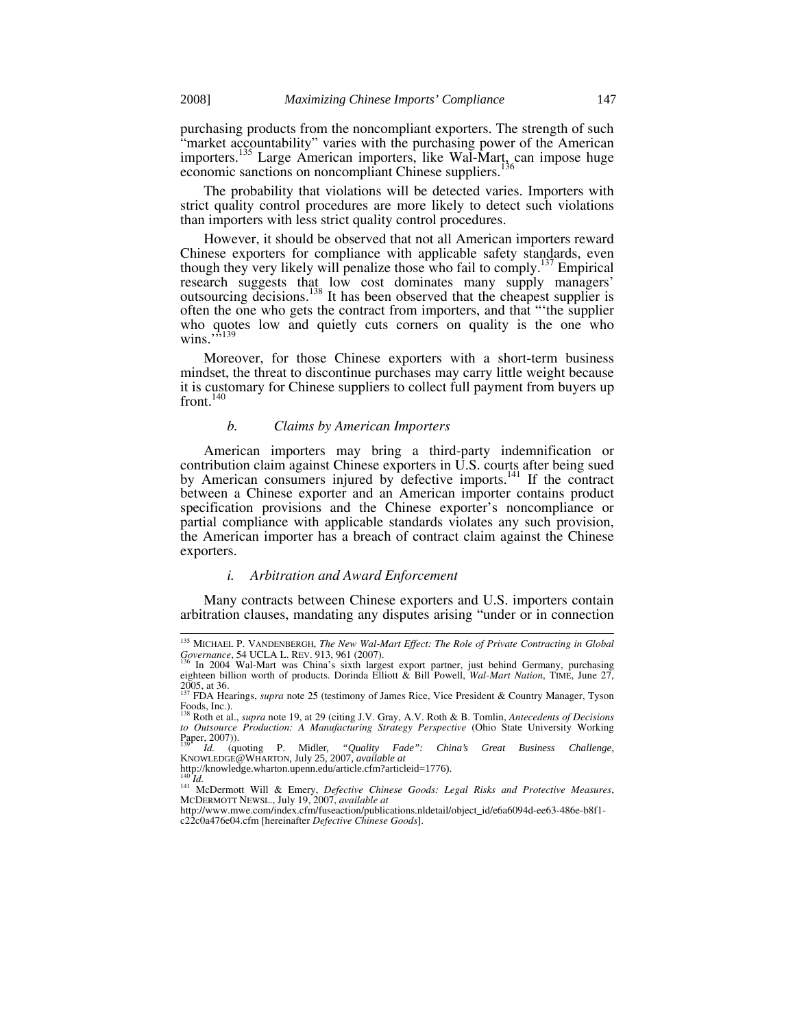purchasing products from the noncompliant exporters. The strength of such "market accountability" varies with the purchasing power of the American importers.<sup>135</sup> Large American importers, like Wal-Mart, can impose huge economic sanctions on noncompliant Chinese suppliers.<sup>136</sup>

The probability that violations will be detected varies. Importers with strict quality control procedures are more likely to detect such violations than importers with less strict quality control procedures.

However, it should be observed that not all American importers reward Chinese exporters for compliance with applicable safety standards, even though they very likely will penalize those who fail to comply.137 Empirical research suggests that low cost dominates many supply managers' outsourcing decisions.138 It has been observed that the cheapest supplier is often the one who gets the contract from importers, and that "'the supplier who quotes low and quietly cuts corners on quality is the one who wins. $\overline{513}$ 

Moreover, for those Chinese exporters with a short-term business mindset, the threat to discontinue purchases may carry little weight because it is customary for Chinese suppliers to collect full payment from buyers up front. $140$ 

#### *b. Claims by American Importers*

American importers may bring a third-party indemnification or contribution claim against Chinese exporters in U.S. courts after being sued by American consumers injured by defective imports.<sup>141</sup> If the contract between a Chinese exporter and an American importer contains product specification provisions and the Chinese exporter's noncompliance or partial compliance with applicable standards violates any such provision, the American importer has a breach of contract claim against the Chinese exporters.

#### *i. Arbitration and Award Enforcement*

Many contracts between Chinese exporters and U.S. importers contain arbitration clauses, mandating any disputes arising "under or in connection

<sup>&</sup>lt;sup>135</sup> MICHAEL P. VANDENBERGH, *The New Wal-Mart Effect: The Role of Private Contracting in Global Governance*, 54 UCLA L. REV. 913, 961 (2007).

Governance, 54 UCLA L. REV. 913, 961 (2007).<br><sup>136</sup> In 2004 Wal-Mart was China's sixth largest export partner, just behind Germany, purchasing<br>eighteen billion worth of products. Dorinda Elliott & Bill Powell, *Wal-Mart Nat* 2005, at 36. 137 FDA Hearings, *supra* note 25 (testimony of James Rice, Vice President & Country Manager, Tyson

Foods, Inc.).<br><sup>138</sup> Roth et al., *supra* note 19, at 29 (citing J.V. Gray, A.V. Roth & B. Tomlin, *Antecedents of Decisions*<br>to *Outsource Production: A Manufacturing Strategy Perspective* (Ohio State University Working to Outsource Production: A Manufacturing Strategy Perspective (Ohio State University Working Paper, 2007)).<br>Paper, 2007)).

<sup>139</sup> *Id.* (quoting P. Midler, *"Quality Fade": China's Great Business Challenge*, KNOWLEDGE@WHARTON, July 25, 2007, *available at* http://knowledge.wharton.upenn.edu/article.cfm?articleid=1776).<br><sup>140</sup> Id.

<sup>140</sup> *Id.* 141 McDermott Will & Emery, *Defective Chinese Goods: Legal Risks and Protective Measures*, MCDERMOTT NEWSL., July 19, 2007, *available at*

http://www.mwe.com/index.cfm/fuseaction/publications.nldetail/object\_id/e6a6094d-ee63-486e-b8f1 c22c0a476e04.cfm [hereinafter *Defective Chinese Goods*].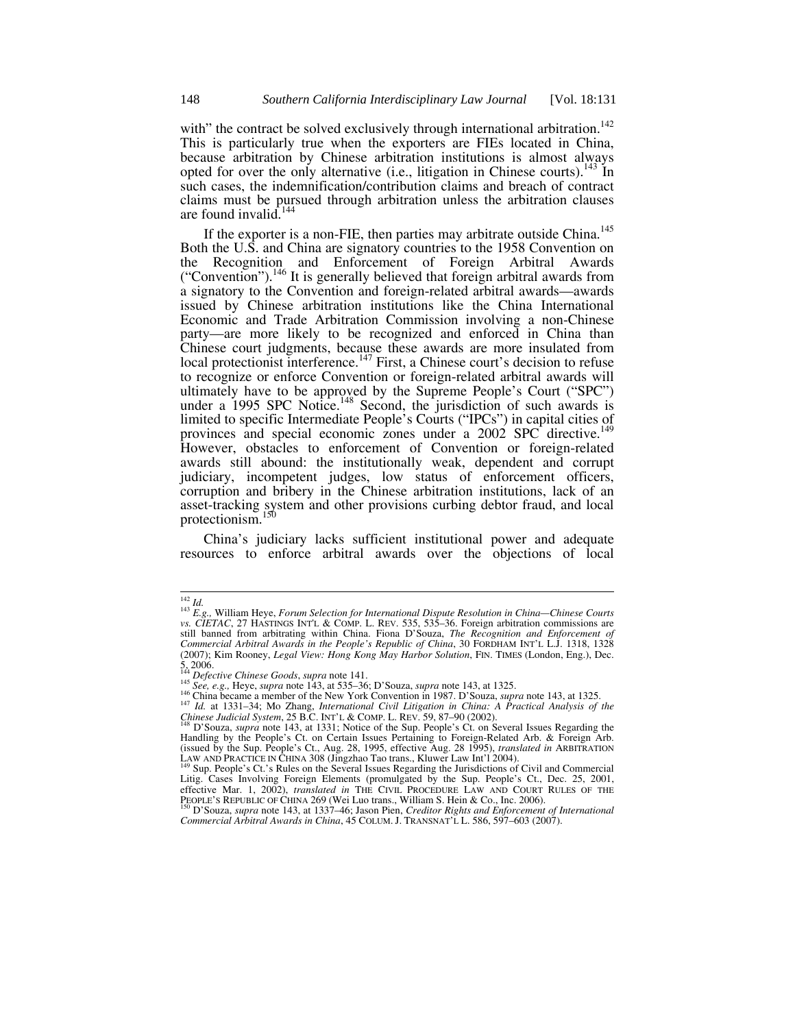with" the contract be solved exclusively through international arbitration.<sup>142</sup> This is particularly true when the exporters are FIEs located in China, because arbitration by Chinese arbitration institutions is almost always opted for over the only alternative (i.e., litigation in Chinese courts).<sup>143</sup> In such cases, the indemnification/contribution claims and breach of contract claims must be pursued through arbitration unless the arbitration clauses are found invalid.<sup>144</sup>

If the exporter is a non-FIE, then parties may arbitrate outside China.<sup>145</sup> Both the U.S. and China are signatory countries to the 1958 Convention on the Recognition and Enforcement of Foreign Arbitral Awards ("Convention").146 It is generally believed that foreign arbitral awards from a signatory to the Convention and foreign-related arbitral awards—awards issued by Chinese arbitration institutions like the China International Economic and Trade Arbitration Commission involving a non-Chinese party—are more likely to be recognized and enforced in China than Chinese court judgments, because these awards are more insulated from local protectionist interference.<sup>147</sup> First, a Chinese court's decision to refuse to recognize or enforce Convention or foreign-related arbitral awards will ultimately have to be approved by the Supreme People's Court ("SPC") under a 1995 SPC Notice.<sup>148</sup> Second, the jurisdiction of such awards is limited to specific Intermediate People's Courts ("IPCs") in capital cities of provinces and special economic zones under a 2002 SPC directive.<sup>149</sup> However, obstacles to enforcement of Convention or foreign-related awards still abound: the institutionally weak, dependent and corrupt judiciary, incompetent judges, low status of enforcement officers, corruption and bribery in the Chinese arbitration institutions, lack of an asset-tracking system and other provisions curbing debtor fraud, and local protectionism. $150$ 

China's judiciary lacks sufficient institutional power and adequate resources to enforce arbitral awards over the objections of local

- 
- <sup>144</sup> Defective Chinese Goods, supra note 141.<br><sup>145</sup> See, e.g., Heye, supra note 143, at 535–36; D'Souza, supra note 143, at 1325.<br><sup>146</sup> China became a member of the New York Convention in 1987. D'Souza, supra note 143, at *Chinese Judicial System*, 25 B.C. INT'L & COMP. L. REV. 59, 87–90 (2002).<br><sup>148</sup> D'Souza, *supra* note 143, at 1331; Notice of the Sup. People's Ct. on Several Issues Regarding the

<sup>142</sup> *Id.* <sup>143</sup> *E.g.,* William Heye, *Forum Selection for International Dispute Resolution in China—Chinese Courts vs. CIETAC*, 27 HASTINGS INT'L & COMP. L. REV. 535, 535*–*36. Foreign arbitration commissions are still banned from arbitrating within China. Fiona D'Souza, *The Recognition and Enforcement of Commercial Arbitral Awards in the People's Republic of China*, 30 FORDHAM INT'L L.J. 1318, 1328 (2007); Kim Rooney, *Legal View: Hong Kong May Harbor Solution*, FIN. TIMES (London, Eng.), Dec.  $5, 2006$ .<br> $144$  Defective Chinese Goods, supra note 141.

Handling by the People's Ct. on Certain Issues Pertaining to Foreign-Related Arb. & Foreign Arb.<br>Handling by the People's Ct. on Certain Issues Pertaining to Foreign-Related Arb. & Foreign Arb. (issued by the Sup. People's Ct., Aug. 28, 1995, effective Aug. 28 1995), *translated in* ARBITRATION LAW AND PRACTICE IN CHINA 308 (Jingzhao Tao trans., Kluwer Law Int') 2004).

LAW AND PRACTICE IN CHINA 308 (Jingzhao Tao trans., Kluwer Law Int'l 2004). 149 Sup. People's Ct.'s Rules on the Several Issues Regarding the Jurisdictions of Civil and Commercial Litig. Cases Involving Foreign Elements (promulgated by the Sup. People's Ct., Dec. 25, 2001, effective Mar. 1, 2002), *translated in* THE CIVIL PROCEDURE LAW AND COURT RULES OF THE PEOPLE'S REPUBLIC OF CHINA 269 (Wei Luo trans., William S. Hein & Co., Inc. 2006).<br><sup>150</sup> D'Souza, *supra* note 143, at 1337–46; Jason

*Commercial Arbitral Awards in China*, 45 COLUM. J. TRANSNAT'L L. 586, 597*–*603 (2007).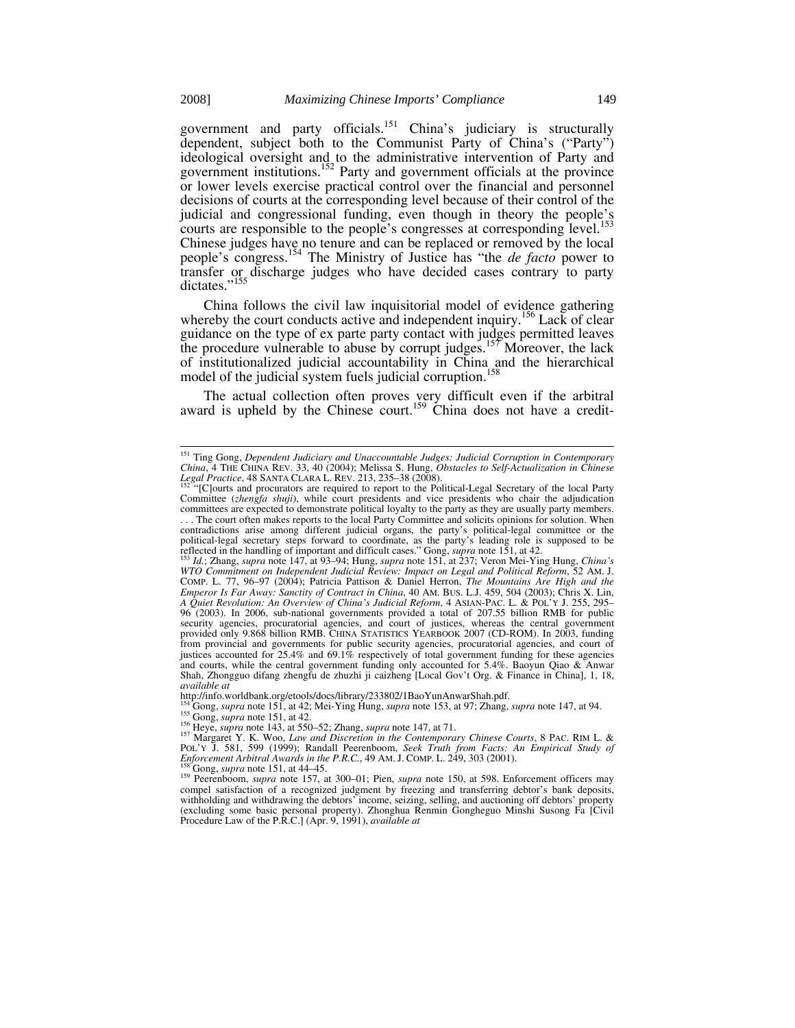government and party officials.<sup>151</sup> China's judiciary is structurally dependent, subject both to the Communist Party of China's ("Party") ideological oversight and to the administrative intervention of Party and government institutions.<sup>152</sup> Party and government officials at the province or lower levels exercise practical control over the financial and personnel decisions of courts at the corresponding level because of their control of the judicial and congressional funding, even though in theory the people's courts are responsible to the people's congresses at corresponding level.<sup>153</sup> Chinese judges have no tenure and can be replaced or removed by the local people's congress.154 The Ministry of Justice has "the *de facto* power to transfer or discharge judges who have decided cases contrary to party dictates."<sup>155</sup>

China follows the civil law inquisitorial model of evidence gathering whereby the court conducts active and independent inquiry.<sup>156</sup> Lack of clear guidance on the type of ex parte party contact with judges permitted leaves the procedure vulnerable to abuse by corrupt judges.<sup>157</sup> Moreover, the lack of institutionalized judicial accountability in China and the hierarchical model of the judicial system fuels judicial corruption.<sup>158</sup>

The actual collection often proves very difficult even if the arbitral award is upheld by the Chinese court.<sup>159</sup> China does not have a credit-

http://info.worldbank.org/etools/docs/library/233802/1BaoYunAnwarShah.pdf.<br><sup>154</sup> Gong, *supra* note 151, at 42; Mei-Ying Hung, *supra* note 153, at 97; Zhang, *supra* note 147, at 94.<br><sup>156</sup> Gong, *supra* note 151, at 42.<br><sup></sup>

157 Margaret Y. K. Woo, *Law and Discretion in the Contemporary Chinese Courts*, 8 PAC. RIM L. &<br>
POL'Y J. 581, 599 (1999); Randall Peerenboom, *Seek Truth from Facts: An Empirical Study of*<br> *Enforcement Arbitral Awards i* 

<sup>158</sup>Gong, *supra* note 151, at 44–45.<br><sup>159</sup> Peerenboom, *supra* note 157, at 300–01; Pien, *supra* note 150, at 598. Enforcement officers may compel satisfaction of a recognized judgment by freezing and transferring debtor's bank deposits, withholding and withdrawing the debtors' income, seizing, selling, and auctioning off debtors' property (excluding some basic personal property). Zhonghua Renmin Gongheguo Minshi Susong Fa [Civil Procedure Law of the P.R.C.] (Apr. 9, 1991), *available at*

 <sup>151</sup> Ting Gong, *Dependent Judiciary and Unaccountable Judges: Judicial Corruption in Contemporary China*, 4 THE CHINA REV. 33, 40 (2004); Melissa S. Hung, *Obstacles to Self-Actualization in Chinese Legal Practice*, 48 SANTA CLARA L. REV. 213, 235–38 (2008). 152 "[C]ourts and procurators are required to report to the Political-Legal Secretary of the local Party

Committee (*zhengfa shuji*), while court presidents and vice presidents who chair the adjudication committees are expected to demonstrate political loyalty to the party as they are usually party members. . . . The court often makes reports to the local Party Committee and solicits opinions for solution. When contradictions arise among different judicial organs, the party's political-legal committee or the political-legal secretary steps forward to coordinate, as the party's leading role is supposed to be reflected in the handling of important and difficult cases." Gong, *supra* note 151, at 42.<br><sup>153</sup> *Id*.; Zhang, *supra* n

*WTO Commitment on Independent Judicial Review: Impact on Legal and Political Reform*, 52 AM. J. COMP. L. 77, 96*–*97 (2004); Patricia Pattison & Daniel Herron, *The Mountains Are High and the Emperor Is Far Away: Sanctity of Contract in China*, 40 AM. BUS. L.J. 459, 504 (2003); Chris X. Lin, *A Quiet Revolution: An Overview of China's Judicial Reform*, 4 ASIAN-PAC. L. & POL'Y J. 255, 295*–* 96 (2003). In 2006, sub-national governments provided a total of 207.55 billion RMB for public security agencies, procuratorial agencies, and court of justices, whereas the central government<br>provided only 9.868 billion RMB. CHINA STATISTICS YEARBOOK 2007 (CD-ROM). In 2003, funding<br>from provincial and governments fo justices accounted for  $25.4\%$  and  $69.1\%$  respectively of total government funding for these agencies and courts, while the central government funding only accounted for 5.4%. Baoyun Qiao & Anwar Shah, Zhongguo difang zhengfu de zhuzhi ji caizheng [Local Gov't Org. & Finance in China], 1, 18, *available at*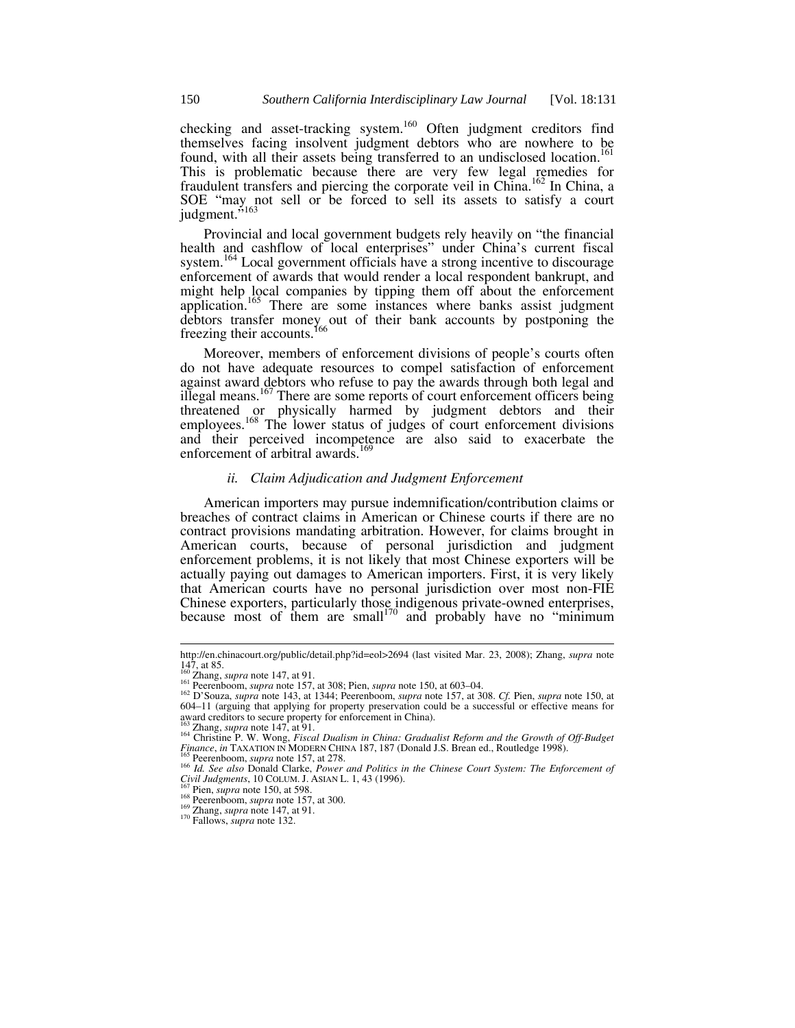checking and asset-tracking system.<sup>160</sup> Often judgment creditors find themselves facing insolvent judgment debtors who are nowhere to be found, with all their assets being transferred to an undisclosed location.<sup>161</sup> This is problematic because there are very few legal remedies for fraudulent transfers and piercing the corporate veil in China.<sup>162</sup> In China, a SOE "may not sell or be forced to sell its assets to satisfy a court judgment."<sup>163</sup>

Provincial and local government budgets rely heavily on "the financial health and cashflow of local enterprises" under China's current fiscal system.<sup>164</sup> Local government officials have a strong incentive to discourage enforcement of awards that would render a local respondent bankrupt, and might help local companies by tipping them off about the enforcement application.<sup>165</sup> There are some instances where banks assist judgment debtors transfer money out of their bank accounts by postponing the freezing their accounts.<sup>166</sup>

Moreover, members of enforcement divisions of people's courts often do not have adequate resources to compel satisfaction of enforcement against award debtors who refuse to pay the awards through both legal and illegal means.<sup>167</sup> There are some reports of court enforcement officers being threatened or physically harmed by judgment debtors and their employees.<sup>168</sup> The lower status of judges of court enforcement divisions and their perceived incompetence are also said to exacerbate the enforcement of arbitral awards.<sup>169</sup>

## *ii. Claim Adjudication and Judgment Enforcement*

American importers may pursue indemnification/contribution claims or breaches of contract claims in American or Chinese courts if there are no contract provisions mandating arbitration. However, for claims brought in American courts, because of personal jurisdiction and judgment enforcement problems, it is not likely that most Chinese exporters will be actually paying out damages to American importers. First, it is very likely that American courts have no personal jurisdiction over most non-FIE Chinese exporters, particularly those indigenous private-owned enterprises, because most of them are small<sup>170</sup> and probably have no "minimum"

http://en.chinacourt.org/public/detail.php?id=eol>2694 (last visited Mar. 23, 2008); Zhang, *supra* note 147, at 85.<br> $160 \text{ Zhang, } supra \text{ note } 147, \text{ at } 91.$ 

 $^{161}$  Peerenboom, *supra* note 157, at 308; Pien, *supra* note 150, at 603–04.<br><sup>162</sup> D'Souza, *supra* note 143, at 1344; Peerenboom, *supra* note 157, at 308. *Cf.* Pien, *supra* note 150, at 604–11 (arguing that applying for property preservation could be a successful or effective means for award creditors to secure property for enforcement in China).

award creditors to secure property.<br><sup>163</sup> Zhang, *supra* note 147, at 91.<br><sup>164</sup> Christine P. W. Wong, *Fiscal Dualism in China: Gradualist Reform and the Growth of Off-Budget* <sup>164</sup> Christine P. W. Wong, *Fiscal Dualism in* 

Finance, in TAXATION IN MODERN CHINA 187, 187 (Donald J.S. Brean ed., Routledge 1998).<br>
<sup>166</sup> Peerenboom, *supra* note 157, at 278.<br>
<sup>166</sup> *Id. See also* Donald Clarke, *Power and Politics in the Chinese Court System: The* 

<sup>&</sup>lt;sup>167</sup> Pien, *supra* note 150, at 598.<br><sup>168</sup> Peerenboom, *supra* note 157, at 300.<br><sup>169</sup> Zhang, *supra* note 147, at 91.<br><sup>170</sup> Fallows, *supra* note 132.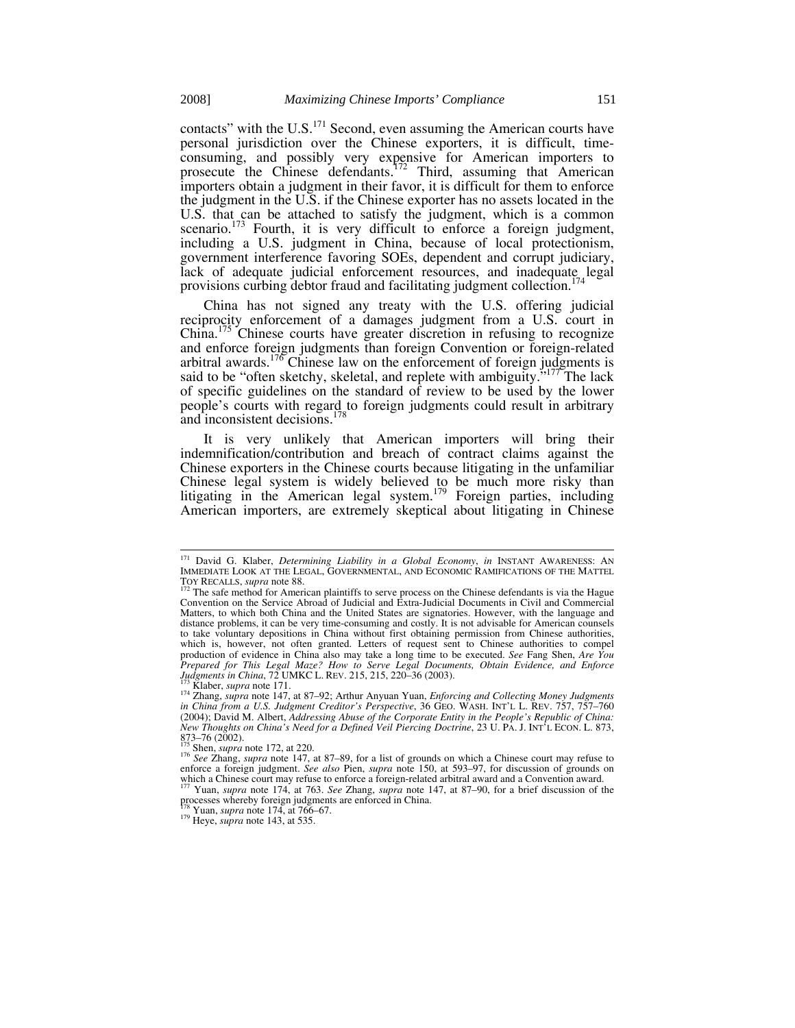contacts" with the U.S.<sup>171</sup> Second, even assuming the American courts have personal jurisdiction over the Chinese exporters, it is difficult, timeconsuming, and possibly very expensive for American importers to prosecute the Chinese defendants.<sup>172</sup> Third, assuming that American importers obtain a judgment in their favor, it is difficult for them to enforce the judgment in the U.S. if the Chinese exporter has no assets located in the U.S. that can be attached to satisfy the judgment, which is a common scenario.<sup>173</sup> Fourth, it is very difficult to enforce a foreign judgment, including a U.S. judgment in China, because of local protectionism, government interference favoring SOEs, dependent and corrupt judiciary, lack of adequate judicial enforcement resources, and inadequate legal provisions curbing debtor fraud and facilitating judgment collection.<sup>17</sup>

China has not signed any treaty with the U.S. offering judicial reciprocity enforcement of a damages judgment from a U.S. court in China.<sup>175</sup> Chinese courts have greater discretion in refusing to recognize and enforce foreign judgments than foreign Convention or foreign-related arbitral awards.<sup>176</sup> Chinese law on the enforcement of foreign judgments is said to be "often sketchy, skeletal, and replete with ambiguity."<sup>177</sup>The lack of specific guidelines on the standard of review to be used by the lower people's courts with regard to foreign judgments could result in arbitrary<br>and inconsistent decisions  $^{178}$ and inconsistent decisions.<sup>1</sup>

It is very unlikely that American importers will bring their indemnification/contribution and breach of contract claims against the Chinese exporters in the Chinese courts because litigating in the unfamiliar Chinese legal system is widely believed to be much more risky than litigating in the American legal system.<sup>179</sup> Foreign parties, including American importers, are extremely skeptical about litigating in Chinese

 <sup>171</sup> David G. Klaber, *Determining Liability in a Global Economy*, *in* INSTANT AWARENESS: AN IMMEDIATE LOOK AT THE LEGAL, GOVERNMENTAL, AND ECONOMIC RAMIFICATIONS OF THE MATTEL<br>TOY RECALLS, *supra* note 88.

The safe method for American plaintiffs to serve process on the Chinese defendants is via the Hague Convention on the Service Abroad of Judicial and Extra-Judicial Documents in Civil and Commercial Matters, to which both China and the United States are signatories. However, with the language and distance problems, it can be very time-consuming and costly. It is not advisable for American counsels to take voluntary depositions in China without first obtaining permission from Chinese authorities, which is, however, not often granted. Letters of request sent to Chinese authorities to compel production of evidence in China also may take a long time to be executed. *See* Fang Shen, *Are You Prepared for This Legal Maze? How to Serve Legal Documents, Obtain Evidence, and Enforce Judgments in China, 72 UMKC L. REV. 215, 215, 220–36 (2003).* 

Judgments in China, 72 UMKC L. REV. 215, 215, 220–36 (2003).<br><sup>173</sup> Klaber, supra note 171.<br><sup>174</sup> Zhang, supra note 147, at 87–92; Arthur Anyuan Yuan, *Enforcing and Collecting Money Judgments*<br>in China from a U.S. Judgment (2004); David M. Albert, *Addressing Abuse of the Corporate Entity in the People's Republic of China: New Thoughts on China's Need for a Defined Veil Piercing Doctrine*, 23 U. PA. J. INT<sup>3</sup>L ECON. L. 873, 873–76 (2002).<br>873–76 (2002).<br><sup>175</sup> Shen, *supra* note 172, at 220.

<sup>873–76 (2002).&</sup>lt;br><sup>175</sup> Shen, *supra* note 172, at 220.<br><sup>176</sup> See Zhang, *supra* note 147, at 87–89, for a list of grounds on which a Chinese court may refuse to<br>enforce a foreign judgment. *See also* Pien, *supra* note 150, which a Chinese court may refuse to enforce a foreign-related arbitral award and a Convention award.<br><sup>177</sup> Yuan, *supra* note 174, at 763. See Zhang, *supra* note 147, at 87–90, for a brief discussion of the

processes whereby foreign judgments are enforced in China. 178 Yuan, *supra* note 174, at 766*–*67. 179 Heye, *supra* note 143, at 535.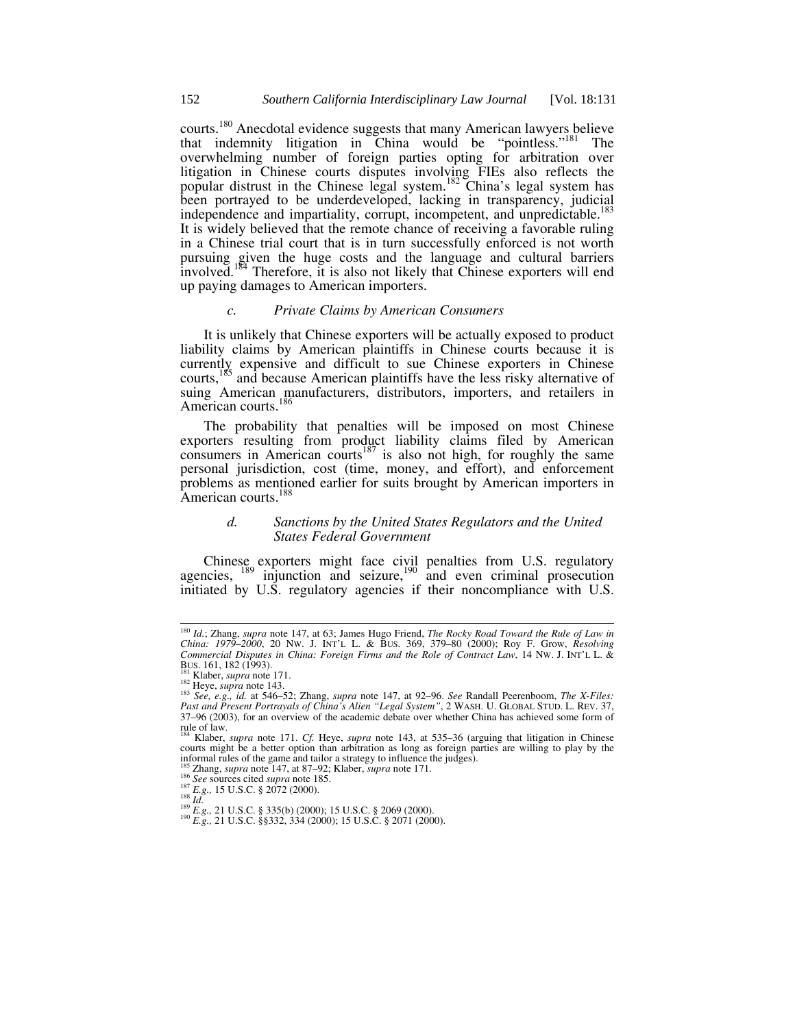courts.<sup>180</sup> Anecdotal evidence suggests that many American lawyers believe that indemnity litigation in China would be "pointless."<sup>181</sup> The overwhelming number of foreign parties opting for arbitration over litigation in Chinese courts disputes involving FIEs also reflects the popular distrust in the Chinese legal system.<sup>182</sup> China's legal system has been portrayed to be underdeveloped, lacking in transparency, judicial independence and impartiality, corrupt, incompetent, and unpredictable.<sup>183</sup> It is widely believed that the remote chance of receiving a favorable ruling in a Chinese trial court that is in turn successfully enforced is not worth pursuing given the huge costs and the language and cultural barriers involved.<sup>184</sup> Therefore, it is also not likely that Chinese exporters will end up paying damages to American importers.

#### *c. Private Claims by American Consumers*

It is unlikely that Chinese exporters will be actually exposed to product liability claims by American plaintiffs in Chinese courts because it is currently expensive and difficult to sue Chinese exporters in Chinese courts,<sup>185</sup> and because American plaintiffs have the less risky alternative of suing American manufacturers, distributors, importers, and retailers in American courts.<sup>186</sup>

The probability that penalties will be imposed on most Chinese exporters resulting from product liability claims filed by American consumers in American courts<sup>187</sup> is also not high, for roughly the same personal jurisdiction, cost (time, money, and effort), and enforcement problems as mentioned earlier for suits brought by American importers in American courts.<sup>188</sup>

## *d. Sanctions by the United States Regulators and the United States Federal Government*

Chinese exporters might face civil penalties from U.S. regulatory agencies,  $^{189}$  injunction and seizure,  $^{190}$  and even criminal prosecution initiated by U.S. regulatory agencies if their noncompliance with U.S.

<sup>&</sup>lt;sup>180</sup> Id.; Zhang, *supra* note 147, at 63; James Hugo Friend, *The Rocky Road Toward the Rule of Law in*<br>*China: 1979–2000*, 20 Nw. J. INT'L L. & BUS. 369, 379–80 (2000); Roy F. Grow, *Resolving Commercial Disputes in China: Foreign Firms and the Role of Contract Law*, 14 NW. J. INT'L L. &

BUS. 161, 182 (1993).<br><sup>181</sup> Klaber, *supra* note 171.<br><sup>182</sup> Heye, *supra* note 143.<br><sup>182</sup> See, e.g., id. at 546–52; Zhang, *supra* note 147, at 92–96. See Randall Peerenboom, *The X-Files:*<br><sup>183</sup> See, e.g., id. at 546–52; 37*–*96 (2003), for an overview of the academic debate over whether China has achieved some form of rule of law.

<sup>184</sup> Klaber, *supra* note 171. *Cf.* Heye, *supra* note 143, at 535*–*36 (arguing that litigation in Chinese courts might be a better option than arbitration as long as foreign parties are willing to play by the informal rules of the game and tailor a strategy to influence the judges).<br><sup>185</sup> Zhang, *supra* note 147, at 87–92; Klaber, *supra* note 171.<br><sup>186</sup> See sources cited *supra* note 185.

<sup>&</sup>lt;sup>187</sup> *E.g.*, 15 U.S.C. § 2072 (2000).<br><sup>188</sup> *Id.*<br><sup>189</sup> *E.g.*, 21 U.S.C. § 335(b) (2000); 15 U.S.C. § 2069 (2000).<br><sup>190</sup> *E.g.*, 21 U.S.C. §§332, 334 (2000); 15 U.S.C. § 2071 (2000).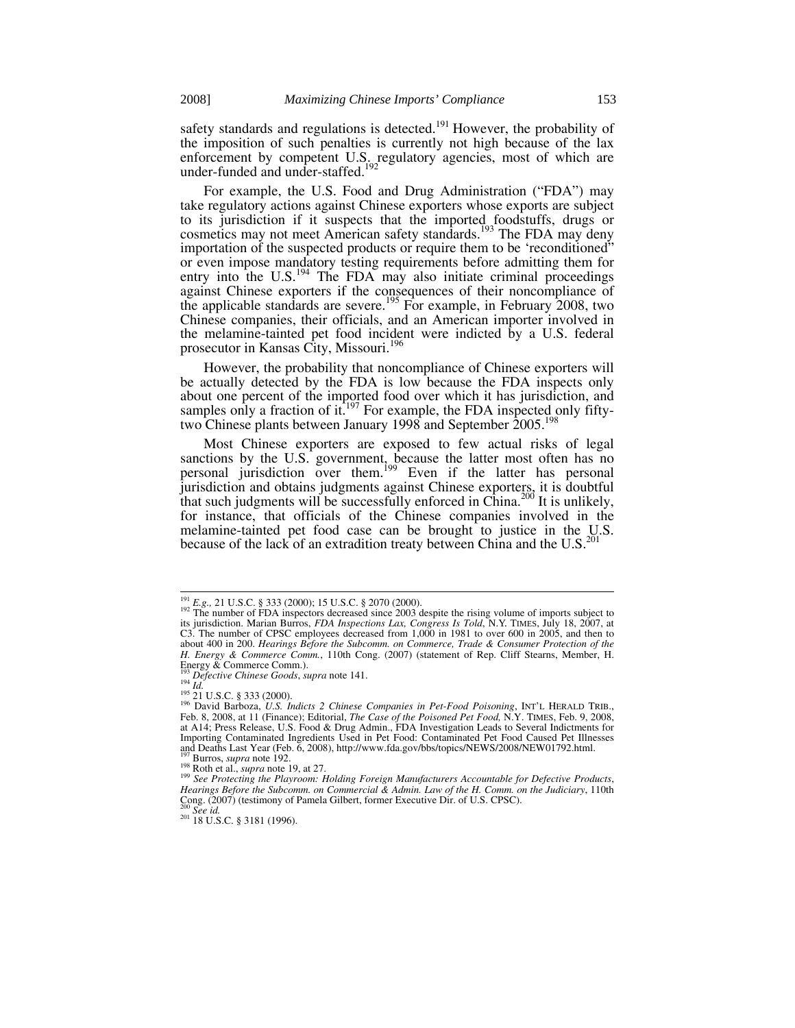safety standards and regulations is detected.<sup>191</sup> However, the probability of the imposition of such penalties is currently not high because of the lax enforcement by competent U.S. regulatory agencies, most of which are under-funded and under-staffed.<sup>192</sup>

For example, the U.S. Food and Drug Administration ("FDA") may take regulatory actions against Chinese exporters whose exports are subject to its jurisdiction if it suspects that the imported foodstuffs, drugs or cosmetics may not meet American safety standards.<sup>193</sup> The FDA may deny importation of the suspected products or require them to be 'reconditioned" or even impose mandatory testing requirements before admitting them for entry into the U.S.<sup>194</sup> The FDA may also initiate criminal proceedings against Chinese exporters if the consequences of their noncompliance of the applicable standards are severe.<sup>195</sup> For example, in February 2008, two Chinese companies, their officials, and an American importer involved in the melamine-tainted pet food incident were indicted by a U.S. federal prosecutor in Kansas City, Missouri.<sup>196</sup>

However, the probability that noncompliance of Chinese exporters will be actually detected by the FDA is low because the FDA inspects only about one percent of the imported food over which it has jurisdiction, and samples only a fraction of it.<sup>197</sup> For example, the FDA inspected only fiftytwo Chinese plants between January 1998 and September 2005.<sup>1</sup>

Most Chinese exporters are exposed to few actual risks of legal sanctions by the U.S. government, because the latter most often has no personal jurisdiction over them.<sup>199</sup> Even if the latter has personal jurisdiction and obtains judgments against Chinese exporters, it is doubtful that such judgments will be successfully enforced in China.<sup>200</sup> It is unlikely, for instance, that officials of the Chinese companies involved in the melamine-tainted pet food case can be brought to justice in the U.S. because of the lack of an extradition treaty between China and the  $U.S.^{20}$ 

<sup>&</sup>lt;sup>191</sup> *E.g.*, 21 U.S.C. § 333 (2000); 15 U.S.C. § 2070 (2000).<br><sup>192</sup> The number of FDA inspectors decreased since 2003 despite the rising volume of imports subject to its jurisdiction. Marian Burros, *FDA Inspections Lax, Congress Is Told*, N.Y. TIMES, July 18, 2007, at C3. The number of CPSC employees decreased from 1,000 in 1981 to over 600 in 2005, and then to about 400 in 200. *Hearings Before the Subcomm. on Commerce, Trade & Consumer Protection of the H. Energy & Commerce Comm.*, 110th Cong. (2007) (statement of Rep. Cliff Stearns, Member, H. Energy & Commerce Comm.).<br><sup>193</sup> Defective Chinese Goods, supra note 141.<br><sup>194</sup> Id.<br><sup>195</sup> 21 U.S.C. § 333 (2000).<br><sup>196</sup> David Barboza, *U.S. Indicts 2 Chinese Companies in Pet-Food Poisoning*, INT'L HERALD TRIB.,

<sup>&</sup>lt;sup>196</sup> David Barboza, *U.S. Indicts 2 Chinese Companies in Pet-Food Poisoning*, INT'L HERALD TRIB., Feb. 8, 2008, at 11 (Finance); Editorial, *The Case of the Poisoned Pet Food*, N.Y. TIMES, Feb. 9, 2008, at A14; Press Release, U.S. Food & Drug Admin., FDA Investigation Leads to Several Indictments for Importing Contaminated Ingredients Used in Pet Food: Contaminated Pet Food Caused Pet Illnesses and Deaths Last Year (Feb. 6, 2008), http://www.fda.gov/bbs/topics/NEWS/2008/NEW01792.html.<br><sup>197</sup> Burros, *supra* note 192.<br><sup>198</sup> Roth et al., *supra* note 19, at 27.<br><sup>198</sup> See Protecting the Playroom: Holding Foreign Manu

*Hearings Before the Subcomm. on Commercial & Admin. Law of the H. Comm. on the Judiciary*, 110th Cong. (2007) (testimony of Pamela Gilbert, former Executive Dir. of U.S. CPSC).<br><sup>200</sup> See id.

<sup>200</sup> *See id.* 201 18 U.S.C. § 3181 (1996).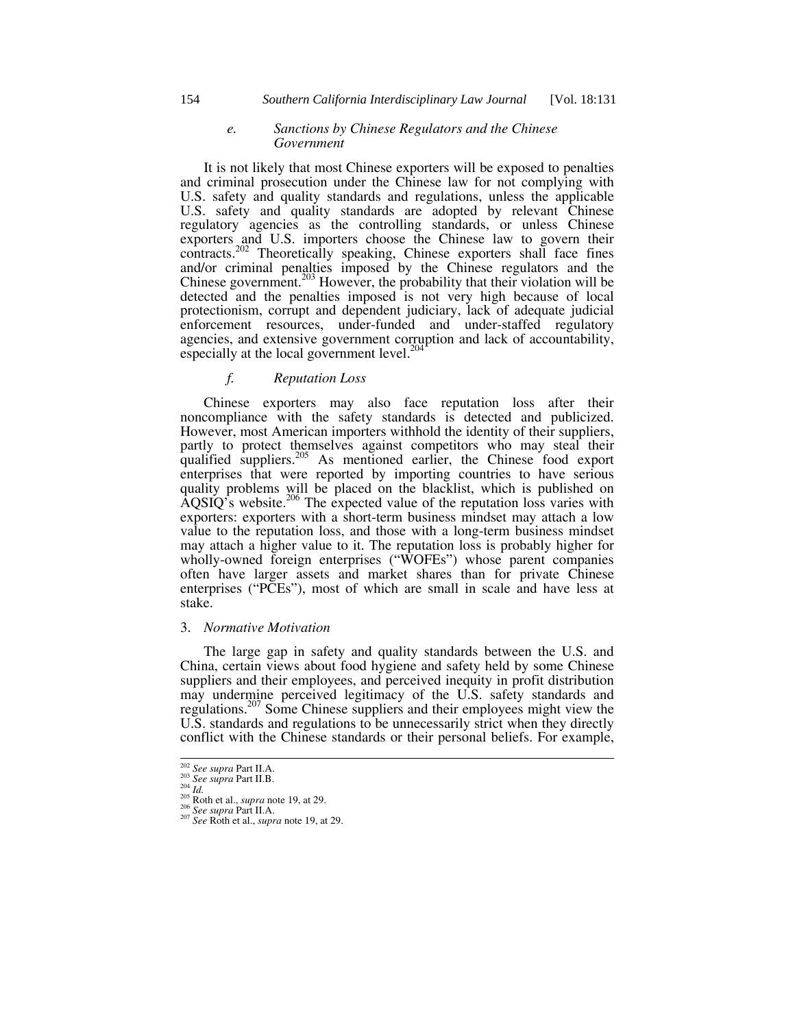#### *e. Sanctions by Chinese Regulators and the Chinese Government*

It is not likely that most Chinese exporters will be exposed to penalties and criminal prosecution under the Chinese law for not complying with U.S. safety and quality standards and regulations, unless the applicable U.S. safety and quality standards are adopted by relevant Chinese regulatory agencies as the controlling standards, or unless Chinese exporters and U.S. importers choose the Chinese law to govern their contracts.<sup>202</sup> Theoretically speaking, Chinese exporters shall face fines and/or criminal penalties imposed by the Chinese regulators and the Chinese government.<sup>203</sup> However, the probability that their violation will be detected and the penalties imposed is not very high because of local protectionism, corrupt and dependent judiciary, lack of adequate judicial enforcement resources, under-funded and under-staffed regulatory agencies, and extensive government corruption and lack of accountability, especially at the local government level. $^{20}$ 

# *f. Reputation Loss*

Chinese exporters may also face reputation loss after their noncompliance with the safety standards is detected and publicized. However, most American importers withhold the identity of their suppliers, partly to protect themselves against competitors who may steal their qualified suppliers.<sup>205</sup> As mentioned earlier, the Chinese food export enterprises that were reported by importing countries to have serious quality problems will be placed on the blacklist, which is published on  $\widehat{A}$ QSIQ's website.<sup>206</sup> The expected value of the reputation loss varies with exporters: exporters with a short-term business mindset may attach a low value to the reputation loss, and those with a long-term business mindset may attach a higher value to it. The reputation loss is probably higher for wholly-owned foreign enterprises ("WOFEs") whose parent companies often have larger assets and market shares than for private Chinese enterprises ("PCEs"), most of which are small in scale and have less at stake.

## 3. *Normative Motivation*

The large gap in safety and quality standards between the U.S. and China, certain views about food hygiene and safety held by some Chinese suppliers and their employees, and perceived inequity in profit distribution may undermine perceived legitimacy of the U.S. safety standards and regulations.207 Some Chinese suppliers and their employees might view the U.S. standards and regulations to be unnecessarily strict when they directly conflict with the Chinese standards or their personal beliefs. For example,

<sup>202</sup> *See supra* Part II.A. 203 *See supra* Part II.B. 204 *Id.* 205 Roth et al., *supra* note 19, at 29. 206 *See supra* Part II.A. 207 *See* Roth et al., *supra* note 19, at 29.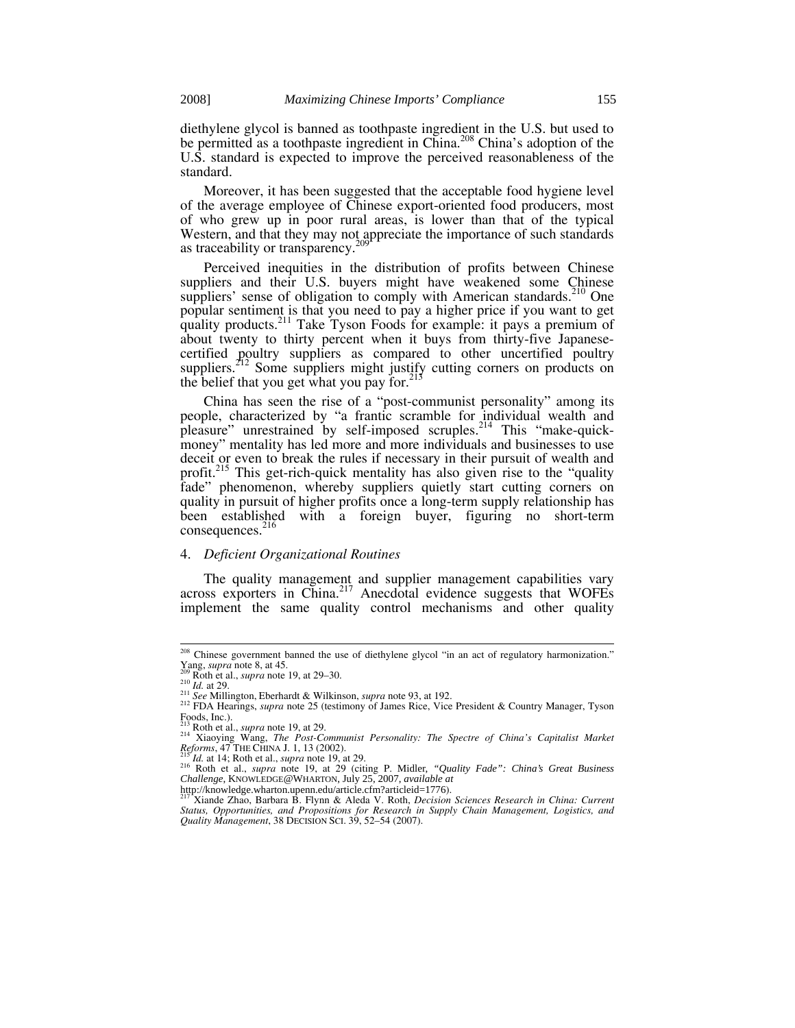diethylene glycol is banned as toothpaste ingredient in the U.S. but used to be permitted as a toothpaste ingredient in China.<sup>208</sup> China's adoption of the U.S. standard is expected to improve the perceived reasonableness of the standard.

Moreover, it has been suggested that the acceptable food hygiene level of the average employee of Chinese export-oriented food producers, most of who grew up in poor rural areas, is lower than that of the typical Western, and that they may not appreciate the importance of such standards as traceability or transparency.<sup>2</sup>

Perceived inequities in the distribution of profits between Chinese suppliers and their U.S. buyers might have weakened some Chinese suppliers' sense of obligation to comply with American standards.<sup>210</sup> One popular sentiment is that you need to pay a higher price if you want to get quality products.<sup>211</sup> Take Tyson Foods for example: it pays a premium of about twenty to thirty percent when it buys from thirty-five Japanesecertified poultry suppliers as compared to other uncertified poultry suppliers.<sup>212</sup> Some suppliers might justify cutting corners on products on the belief that you get what you pay for. $213$ 

China has seen the rise of a "post-communist personality" among its people, characterized by "a frantic scramble for individual wealth and pleasure" unrestrained by self-imposed scruples.<sup>214</sup> This "make-quickmoney" mentality has led more and more individuals and businesses to use deceit or even to break the rules if necessary in their pursuit of wealth and profit.<sup>215</sup> This get-rich-quick mentality has also given rise to the "quality" fade" phenomenon, whereby suppliers quietly start cutting corners on quality in pursuit of higher profits once a long-term supply relationship has been established with a foreign buyer, figuring no short-term  $consequences.<sup>216</sup>$ 

#### 4. *Deficient Organizational Routines*

The quality management and supplier management capabilities vary across exporters in China.<sup>217</sup> Anecdotal evidence suggests that WOFEs implement the same quality control mechanisms and other quality

<sup>&</sup>lt;sup>208</sup> Chinese government banned the use of diethylene glycol "in an act of regulatory harmonization."<br>
<sup>209</sup> Roth et al., *supra* note 19, at 29–30.<br>
<sup>210</sup> *Id.* at 29.<br>
<sup>210</sup> *Id.* at 29.

<sup>&</sup>lt;sup>211</sup> See Millington, Eberhardt & Wilkinson, *supra* note 93, at 192.<br><sup>212</sup> FDA Hearings, *supra* note 25 (testimony of James Rice, Vice President & Country Manager, Tyson Foods, Inc.). Foods, Inc.).<br><sup>213</sup> Roth et al., *supra* note 19, at 29.<br><sup>214</sup> Xiaoying Wang, *The Post-Communist Personality: The Spectre of China's Capitalist Market* 

*Reforms*, 47 THE CHINA J. 1, 13 (2002).<br><sup>215</sup> *Id.* at 14; Roth et al., *supra* note 19, at 29. <br><sup>216</sup> Roth et al., *supra* note 19, at 29 (citing P. Midler, *"Quality Fade": China's Great Business* 

*Challenge*, KNOWLEDGE@WHARTON, July 25, 2007, *available at*

http://knowledge.wharton.upenn.edu/article.cfm?articleid=1776). 217 Xiande Zhao, Barbara B. Flynn & Aleda V. Roth, *Decision Sciences Research in China: Current Status, Opportunities, and Propositions for Research in Supply Chain Management, Logistics, and Quality Management*, 38 DECISION SCI. 39, 52*–*54 (2007).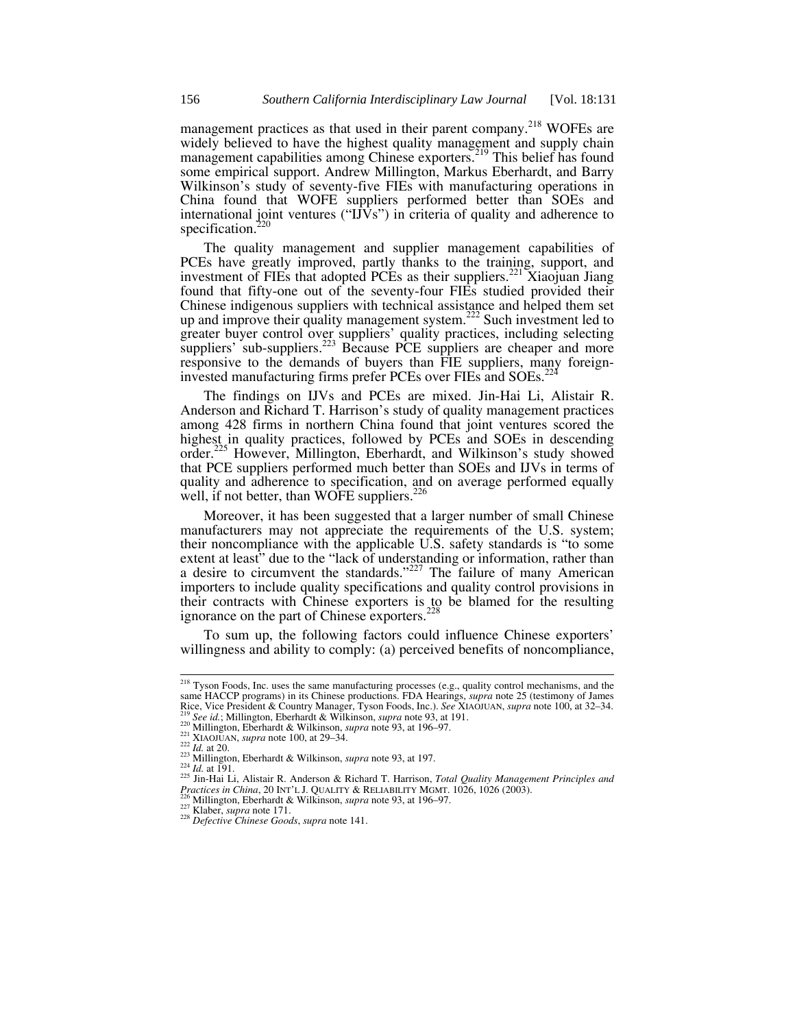management practices as that used in their parent company.<sup>218</sup> WOFEs are widely believed to have the highest quality management and supply chain management capabilities among Chinese exporters.<sup>219</sup> This belief has found some empirical support. Andrew Millington, Markus Eberhardt, and Barry Wilkinson's study of seventy-five FIEs with manufacturing operations in China found that WOFE suppliers performed better than SOEs and international joint ventures (" $\vec{UVs}$ ") in criteria of quality and adherence to specification.<sup>2</sup>

The quality management and supplier management capabilities of PCEs have greatly improved, partly thanks to the training, support, and investment of FIEs that adopted PCEs as their suppliers.<sup>221</sup> Xiaojuan Jiang found that fifty-one out of the seventy-four FIEs studied provided their Chinese indigenous suppliers with technical assistance and helped them set up and improve their quality management system.<sup>222</sup> Such investment led to greater buyer control over suppliers' quality practices, including selecting suppliers' sub-suppliers.<sup>223</sup> Because PCE suppliers are cheaper and more responsive to the demands of buyers than FIE suppliers, many foreigninvested manufacturing firms prefer PCEs over FIEs and SOEs.<sup>22</sup>

The findings on IJVs and PCEs are mixed. Jin-Hai Li, Alistair R. Anderson and Richard T. Harrison's study of quality management practices among 428 firms in northern China found that joint ventures scored the highest in quality practices, followed by PCEs and SOEs in descending order.<sup>225</sup> However, Millington, Eberhardt, and Wilkinson's study showed that PCE suppliers performed much better than SOEs and IJVs in terms of quality and adherence to specification, and on average performed equally well, if not better, than WOFE suppliers.  $226$ 

Moreover, it has been suggested that a larger number of small Chinese manufacturers may not appreciate the requirements of the U.S. system; their noncompliance with the applicable U.S. safety standards is "to some extent at least" due to the "lack of understanding or information, rather than a desire to circumvent the standards." $227$  The failure of many American importers to include quality specifications and quality control provisions in their contracts with Chinese exporters is to be blamed for the resulting ignorance on the part of Chinese exporters.<sup>228</sup>

To sum up, the following factors could influence Chinese exporters' willingness and ability to comply: (a) perceived benefits of noncompliance,

<sup>&</sup>lt;sup>218</sup> Tyson Foods, Inc. uses the same manufacturing processes (e.g., quality control mechanisms, and the same HACCP programs) in its Chinese productions. FDA Hearings, *supra* note 25 (testimony of James<br>Rice, Vice President & Country Manager, Tyson Foods, Inc.). See XIAOJUAN, *supra* note 100, at 32–34.<br><sup>219</sup> See id : Millin

<sup>&</sup>lt;sup>219</sup> See id.; Millington, Eberhardt & Wilkinson, *supra* note 93, at 191.<br>
<sup>220</sup> Millington, Eberhardt & Wilkinson, *supra* note 93, at 196–97.<br>
<sup>220</sup> Millington, Eberhardt & Wilkinson, *supra* note 93, at 196–97.<br>
<sup>222</sup> *Practices in China*, 20 INT'L J. QUALITY & RELIABILITY MGMT. 1026, 1026 (2003).<br><sup>226</sup> Millington, Eberhardt & Wilkinson, *supra* note 93, at 196–97.<br><sup>227</sup> Klaber, *supra* note 171.<br><sup>228</sup> Defective Chinese Goods, *supra* n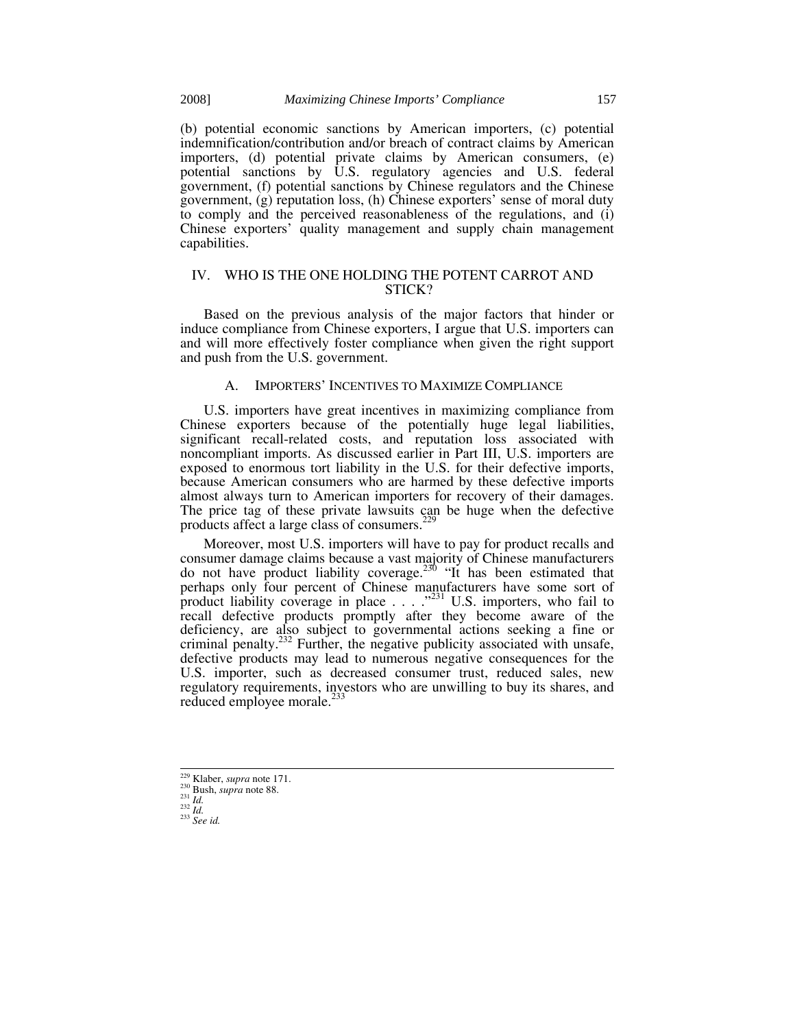(b) potential economic sanctions by American importers, (c) potential indemnification/contribution and/or breach of contract claims by American importers, (d) potential private claims by American consumers, (e) potential sanctions by U.S. regulatory agencies and U.S. federal government, (f) potential sanctions by Chinese regulators and the Chinese government, (g) reputation loss, (h) Chinese exporters' sense of moral duty to comply and the perceived reasonableness of the regulations, and (i) Chinese exporters' quality management and supply chain management capabilities.

## IV. WHO IS THE ONE HOLDING THE POTENT CARROT AND STICK?

Based on the previous analysis of the major factors that hinder or induce compliance from Chinese exporters, I argue that U.S. importers can and will more effectively foster compliance when given the right support and push from the U.S. government.

## A. IMPORTERS' INCENTIVES TO MAXIMIZE COMPLIANCE

U.S. importers have great incentives in maximizing compliance from Chinese exporters because of the potentially huge legal liabilities, significant recall-related costs, and reputation loss associated with noncompliant imports. As discussed earlier in Part III, U.S. importers are exposed to enormous tort liability in the U.S. for their defective imports, because American consumers who are harmed by these defective imports almost always turn to American importers for recovery of their damages. The price tag of these private lawsuits can be huge when the defective products affect a large class of consumers.<sup>229</sup>

Moreover, most U.S. importers will have to pay for product recalls and consumer damage claims because a vast majority of Chinese manufacturers do not have product liability coverage.<sup>230</sup> "It has been estimated that perhaps only four percent of Chinese manufacturers have some sort of product liability coverage in place  $\dots$  ."<sup>231</sup> U.S. importers, who fail to recall defective products promptly after they become aware of the deficiency, are also subject to governmental actions seeking a fine or criminal penalty.<sup>232</sup> Further, the negative publicity associated with unsafe, defective products may lead to numerous negative consequences for the U.S. importer, such as decreased consumer trust, reduced sales, new regulatory requirements, investors who are unwilling to buy its shares, and reduced employee morale.<sup>23</sup>

 <sup>229</sup> Klaber, *supra* note 171. 230 Bush, *supra* note 88. 231 *Id.* <sup>232</sup> *Id.* <sup>233</sup> *See id.*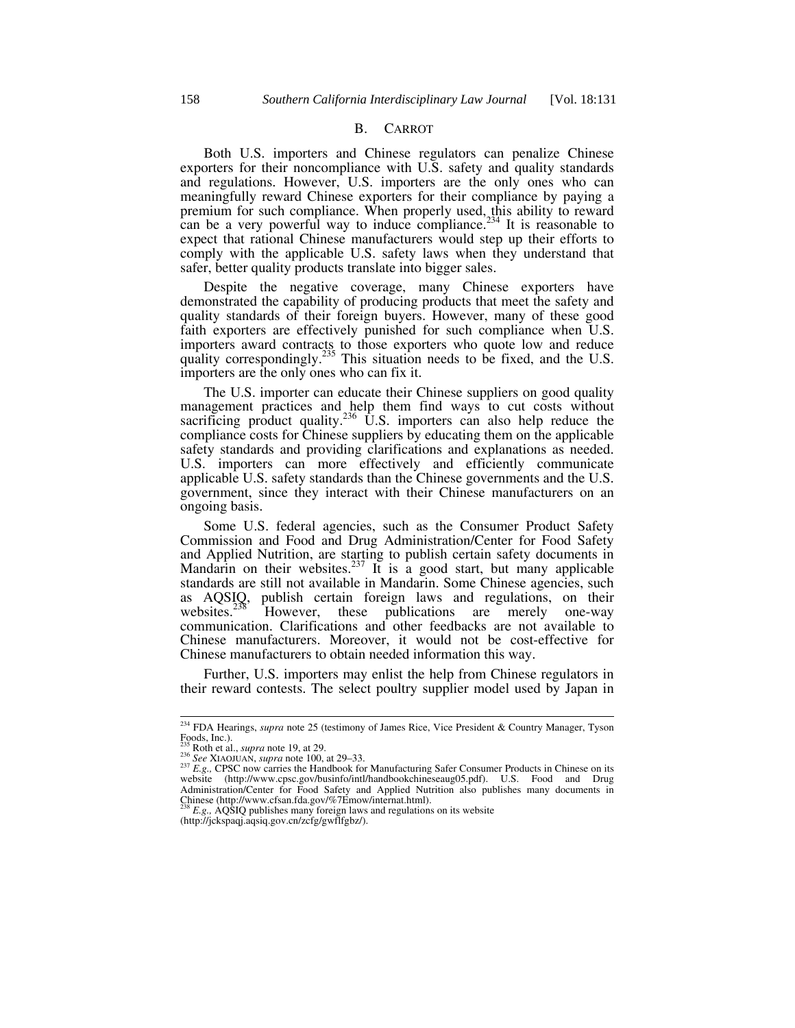#### B. CARROT

Both U.S. importers and Chinese regulators can penalize Chinese exporters for their noncompliance with U.S. safety and quality standards and regulations. However, U.S. importers are the only ones who can meaningfully reward Chinese exporters for their compliance by paying a premium for such compliance. When properly used, this ability to reward can be a very powerful way to induce compliance.<sup>234</sup> It is reasonable to expect that rational Chinese manufacturers would step up their efforts to comply with the applicable U.S. safety laws when they understand that safer, better quality products translate into bigger sales.

Despite the negative coverage, many Chinese exporters have demonstrated the capability of producing products that meet the safety and quality standards of their foreign buyers. However, many of these good faith exporters are effectively punished for such compliance when U.S. importers award contracts to those exporters who quote low and reduce quality correspondingly.<sup>235</sup> This situation needs to be fixed, and the U.S. importers are the only ones who can fix it.

The U.S. importer can educate their Chinese suppliers on good quality management practices and help them find ways to cut costs without sacrificing product quality.<sup>236</sup> U.S. importers can also help reduce the compliance costs for Chinese suppliers by educating them on the applicable safety standards and providing clarifications and explanations as needed. U.S. importers can more effectively and efficiently communicate applicable U.S. safety standards than the Chinese governments and the U.S. government, since they interact with their Chinese manufacturers on an ongoing basis.

Some U.S. federal agencies, such as the Consumer Product Safety Commission and Food and Drug Administration/Center for Food Safety and Applied Nutrition, are starting to publish certain safety documents in Mandarin on their websites.<sup>237</sup> It is a good start, but many applicable standards are still not available in Mandarin. Some Chinese agencies, such as AQSIQ, publish certain foreign laws and regulations, on their websites.<sup>238</sup> However, these publications are merely one-way communication. Clarifications and other feedbacks are not available to Chinese manufacturers. Moreover, it would not be cost-effective for Chinese manufacturers to obtain needed information this way.

Further, U.S. importers may enlist the help from Chinese regulators in their reward contests. The select poultry supplier model used by Japan in

 <sup>234</sup> FDA Hearings, *supra* note 25 (testimony of James Rice, Vice President & Country Manager, Tyson Foods, Inc.).<br> $235$  Roth et al., *supra* note 19, at 29.

<sup>&</sup>lt;sup>236</sup> See XIAOJUAN, *supra* note 19, at 29.<br><sup>236</sup> See XIAOJUAN, *supra* note 100, at 29–33.<br><sup>237</sup> *E.g.*, CPSC now carries the Handbook for Manufacturing Safer Consumer Products in Chinese on its website (http://www.cpsc.gov/businfo/intl/handbookchineseaug05.pdf). U.S. Food and Drug Administration/Center for Food Safety and Applied Nutrition also publishes many documents in Chinese (http://www.cfsan.fda.gov/%7Emow/internat.html). 238 *E.g.,* AQSIQ publishes many foreign laws and regulations on its website

<sup>(</sup>http://jckspaqj.aqsiq.gov.cn/zcfg/gwflfgbz/).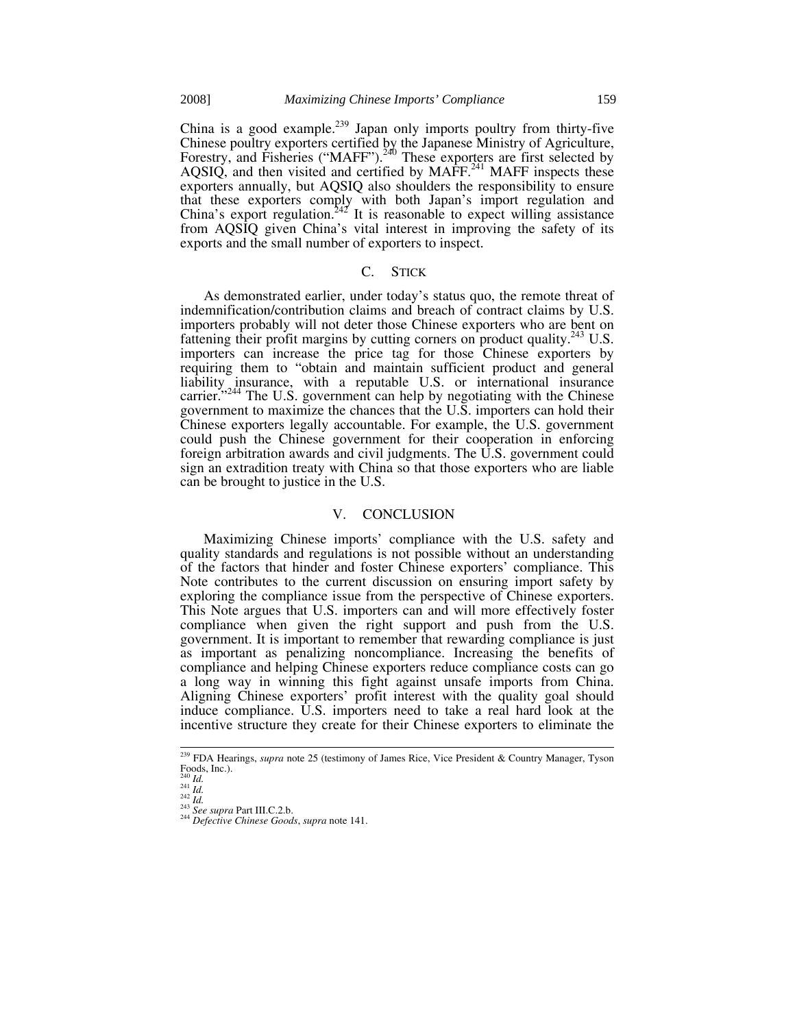China is a good example.<sup>239</sup> Japan only imports poultry from thirty-five Chinese poultry exporters certified by the Japanese Ministry of Agriculture, Forestry, and Fisheries ("MAFF").<sup>240</sup> These exporters are first selected by AQSIQ, and then visited and certified by MAFF.<sup>241</sup> MAFF inspects these exporters annually, but AQSIQ also shoulders the responsibility to ensure that these exporters comply with both Japan's import regulation and China's export regulation.<sup>242'</sup> It is reasonable to expect willing assistance from AQSIQ given China's vital interest in improving the safety of its exports and the small number of exporters to inspect.

## C. STICK

As demonstrated earlier, under today's status quo, the remote threat of indemnification/contribution claims and breach of contract claims by U.S. importers probably will not deter those Chinese exporters who are bent on fattening their profit margins by cutting corners on product quality.<sup>243</sup> U.S. importers can increase the price tag for those Chinese exporters by requiring them to "obtain and maintain sufficient product and general liability insurance, with a reputable U.S. or international insurance carrier. $1244$  The U.S. government can help by negotiating with the Chinese government to maximize the chances that the U.S. importers can hold their Chinese exporters legally accountable. For example, the U.S. government could push the Chinese government for their cooperation in enforcing foreign arbitration awards and civil judgments. The U.S. government could sign an extradition treaty with China so that those exporters who are liable can be brought to justice in the U.S.

#### V. CONCLUSION

Maximizing Chinese imports' compliance with the U.S. safety and quality standards and regulations is not possible without an understanding of the factors that hinder and foster Chinese exporters' compliance. This Note contributes to the current discussion on ensuring import safety by exploring the compliance issue from the perspective of Chinese exporters. This Note argues that U.S. importers can and will more effectively foster compliance when given the right support and push from the U.S. government. It is important to remember that rewarding compliance is just as important as penalizing noncompliance. Increasing the benefits of compliance and helping Chinese exporters reduce compliance costs can go a long way in winning this fight against unsafe imports from China. Aligning Chinese exporters' profit interest with the quality goal should induce compliance. U.S. importers need to take a real hard look at the incentive structure they create for their Chinese exporters to eliminate the

 <sup>239</sup> FDA Hearings, *supra* note 25 (testimony of James Rice, Vice President & Country Manager, Tyson Foods, Inc.).<br> $^{240}$  *Id.* 

<sup>240</sup> *Id.* <sup>241</sup> *Id.* <sup>242</sup> *Id.* <sup>243</sup> *See supra* Part III.C.2.b. 244 *Defective Chinese Goods*, *supra* note 141.